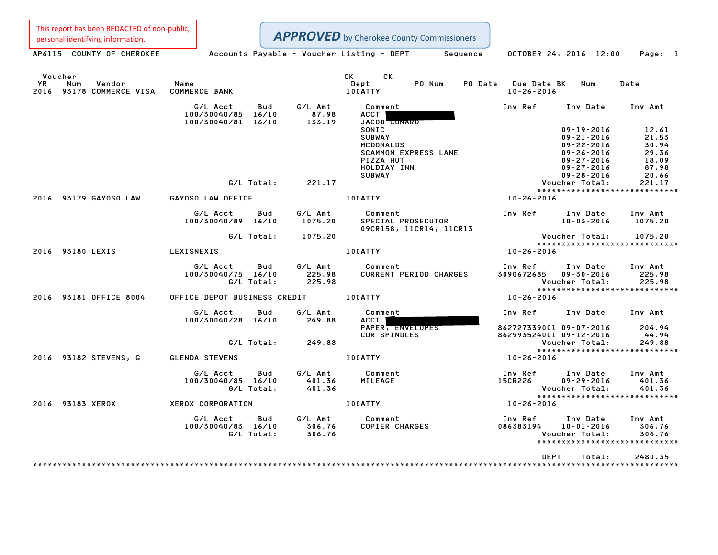This report has been REDACTED of non-public,

Personal identifying information.<br>
AP6115 COUNTY OF CHEROKEE Accounts Payable - Voucher Listing - DEPT Sequence OCTOBER 24, 2016 12:00 Page: 1

Voucher CK CK YR Num Vendor Name Dept PO Num PO Date Due Date BK Num Date Voucher<br>1999 - YR Num Vendor – Name – Name – Dept – PO-Num PO-Date Due-Date<br>2016 93178 COMMERCE VISA COMMERCE BANK – 100ATTY – 100ATTY – 10-26-2016 G/L Acct Bud G/L Amt Comment Inv Ref Inv Date Inv Amt 100/30040/85 16/10 87.98 ACCT 100/30040/81 16/10 133.19 JACOB CONARD SONIC 09-19-2016 12.61 SUBWAY 09-21-2016 21.53 MCDONALDS 09-22-2016 30.94 SCAMMON EXPRESS LANE 09-26-2016 29.36 PIZZA HUT 09-27-2016 18.09 HOLDIAY INN 09-27-2016 87.98 SUBWAY 09-28-2016 20.66 09-27-2016 09-27-2016<br>87.98 09-28-2016 1NN SUBWAY<br>G/L Total: 221.17 Voucher Total: 221.17 \*\*\*\*\*\*\*\*\*\*\*\*\*\*\*\*\*\*\*\*\*\*\*\*\*\*\*\*\* <sup>2016</sup> <sup>93179</sup> GAYOSO LAW GAYOSO LAW OFFICE 100ATTY 10-26-2016 G/L Acct Bud G/L Amt Comment Inv Ref Inv Date Inv Amt 100/30040/89 16/10 1075.20 SPECIAL PROSECUTOR 10-03-2016 1075.20 Comment<br>SPECIAL PROSECUTOR<br>09CR158, 11CR14, 11CR13 G/L Total: 1075.20 Voucher Total: 1075.20 Voucher Total: 1075.20<br>\*\*\*\*\*\*\*\*\*\*\*\*\*\*\*\*\*\*\*\*\*\*\*\*\*\*\*\* <sup>2016</sup> <sup>93180</sup> LEXIS LEXISNEXIS 100ATTY 10-26-2016 G/L Acct Bud G/L Amt Comment Inv Ref Inv Date Inv Amt 100/30040/75 16/10 225.98 CURRENT PERIOD CHARGES <sup>3090672685</sup> 09-30-2016 225.98 G/L Total: 225.98 Voucher Total: 225.98 \*\*\*\*\*\*\*\*\*\*\*\*\*\*\*\*\*\*\*\*\*\*\*\*\*\*\*\*\* <sup>2016</sup> <sup>93181</sup> OFFICE <sup>8004</sup> OFFICE DEPOT BUSINESS CREDIT 100ATTY 10-26-2016 G/L Acct Bud G/L Amt Comment Inv Ref Inv Date Inv Amt 100/30040/28 16/10 6/1 Amt Comment Comment Inv Ref Inv Date Inv Amt<br>ACCT PAPER, ENVELOPES 862727339001 09-07-2016 204.94 CDR SPINDLES <sup>862993524001</sup> 09-12-2016 44.94 G/L Total: 249.88 Voucher Total: 249.88 Voucher Total: 249.88<br>\*\*\*\*\*\*\*\*\*\*\*\*\*\*\*\*\*\*\*\*\*\*\*\*\*\*\*\* <sup>2016</sup> <sup>93182</sup> STEVENS, <sup>G</sup> GLENDA STEVENS 100ATTY 10-26-2016 G/L Acct Bud G/L Amt Comment Inv Ref Inv Date Inv Amt 100/30040/85 16/10 401.36 MILEAGE 15CR226 09-29-2016 401.36 G/L Total: 401.36 Voucher Total: 401.36 09-29-2016 401.36<br>Voucher Total: 401.36<br>\*\*\*\*\*\*\*\*\*\*\*\*\*\*\*\*\*\*\*\*\*\*\*\*\*\*\*\*\*\* <sup>2016</sup> <sup>93183</sup> XEROX XEROX CORPORATION 100ATTY 10-26-2016 G/L Acct Bud G/L Amt Comment Inv Ref Inv Date Inv Amt 100/30040/83 16/10 306.76 COPIER CHARGES <sup>086383194</sup> 10-01-2016 306.76 G/L Total: 306.76 Voucher Total: 306.76 4 10-01-2016 306.76<br>Voucher Total: 306.76<br>\*\*\*\*\*\*\*\*\*\*\*\*\*\*\*\*\*\*\*\*\*\*\*\*\*\*\* \*\*\*\*\*\*\*\*\*\*\*\*\*\*\*\*\*\*\*\*\*\*\*<br>DEPT Total: 2480.35 \*\*\*\*\*\*\*\*\*\*\*\*\*\*\*\*\*\*\*\*\*\*\*\*\*\*\*\*\*\*\*\*\*\*\*\*\*\*\*\*\*\*\*\*\*\*\*\*\*\*\*\*\*\*\*\*\*\*\*\*\*\*\*\*\*\*\*\*\*\*\*\*\*\*\*\*\*\*\*\*\*\*\*\*\*\*\*\*\*\*\*\*\*\*\*\*\*\*\*\*\*\*\*\*\*\*\*\*\*\*\*\*\*\*\*\*\*\*\*\*\*\*\*\*\*\*\*\*\*\*\*\*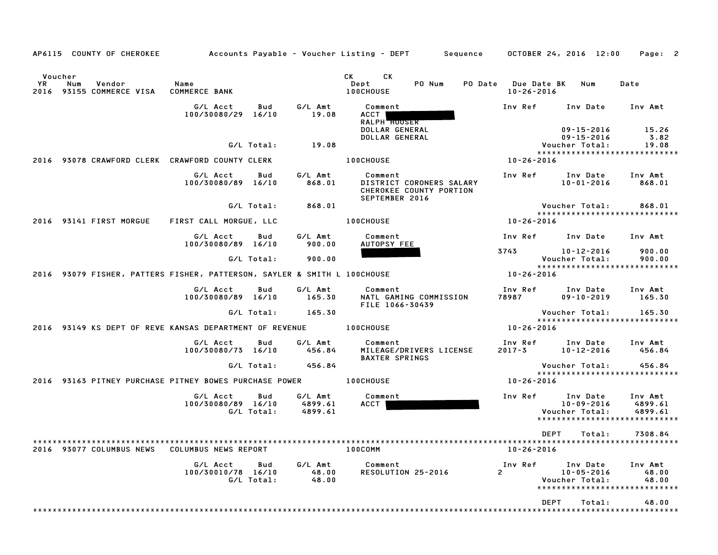| AP6115 COUNTY OF CHEROKEE                                                |                                                   |                                      | Accounts Payable – Voucher Listing – DEPT         Sequence                       | OCTOBER 24, 2016 12:00                  |                                                  | Page: 2                                                        |
|--------------------------------------------------------------------------|---------------------------------------------------|--------------------------------------|----------------------------------------------------------------------------------|-----------------------------------------|--------------------------------------------------|----------------------------------------------------------------|
| Voucher<br>YR<br>Num<br>Vendor<br>93155 COMMERCE VISA<br>2016            | Name<br><b>COMMERCE BANK</b>                      |                                      | CK.<br>CK<br>PO Num<br>Dept<br>100CHOUSE                                         | PO Date Due Date BK<br>$10 - 26 - 2016$ | Num                                              | Date                                                           |
|                                                                          | G/L Acct<br>100/30080/29 16/10                    | G/L Amt<br>Bud<br>19.08              | Comment<br>ACCT<br>RALPH <b>HOUSER</b>                                           | Inv Ref                                 | Inv Date                                         | Inv Amt                                                        |
|                                                                          | G/L Total:                                        | 19.08                                | DOLLAR GENERAL<br>DOLLAR GENERAL                                                 |                                         | 09-15-2016<br>$09 - 15 - 2016$<br>Voucher Total: | 15.26<br>3.82<br>19.08                                         |
| 2016                                                                     | 93078 CRAWFORD CLERK CRAWFORD COUNTY CLERK        |                                      | <b>100CHOUSE</b>                                                                 | 10-26-2016                              |                                                  | *****************************                                  |
|                                                                          | G/L Acct<br>100/30080/89 16/10                    | G/L Amt<br>Bud<br>868.01             | Comment<br>DISTRICT CORONERS SALARY<br>CHEROKEE COUNTY PORTION<br>SEPTEMBER 2016 | Inv Ref                                 | Inv Date<br>$10 - 01 - 2016$                     | Inv Amt<br>868.01                                              |
|                                                                          | G/L Total:                                        | 868.01                               |                                                                                  |                                         | Voucher Total:                                   | 868.01                                                         |
| 2016 93141 FIRST MORGUE                                                  | FIRST CALL MORGUE, LLC                            |                                      | <b>100CHOUSE</b>                                                                 | 10-26-2016                              |                                                  | *****************************                                  |
|                                                                          | G/L Acct<br>100/30080/89 16/10                    | Bud<br>G/L Amt<br>900.00             | Comment<br>AUTOPSY FEE                                                           | Inv Ref                                 | Inv Date                                         | Inv Amt                                                        |
|                                                                          | G/L Total:                                        | 900.00                               |                                                                                  | 3743                                    | 10-12-2016<br>Voucher Total:                     | 900.00<br>900.00                                               |
| 2016 93079 FISHER, PATTERS FISHER, PATTERSON, SAYLER & SMITH L 100CHOUSE |                                                   |                                      |                                                                                  | 10-26-2016                              |                                                  | *****************************                                  |
|                                                                          | G/L Acct<br>100/30080/89 16/10                    | Bud<br>G/L Amt<br>165.30             | Comment<br>NATL GAMING COMMISSION<br>FILE 1066-30439                             | Inv Ref<br>78987                        | Inv Date<br>$09 - 10 - 2019$                     | Inv Amt<br>165.30                                              |
|                                                                          | G/L Total:                                        | 165.30                               |                                                                                  |                                         | Voucher Total:                                   | 165.30<br>*****************************                        |
| 2016 93149 KS DEPT OF REVE KANSAS DEPARTMENT OF REVENUE                  |                                                   |                                      | <b>100CHOUSE</b>                                                                 | 10-26-2016                              |                                                  |                                                                |
|                                                                          | G/L Acct<br>100/30080/73 16/10                    | G/L Amt<br>Bud<br>456.84             | Comment<br>MILEAGE/DRIVERS LICENSE<br><b>BAXTER SPRINGS</b>                      | Inv Ref<br>$2017 - 3$                   | Inv Date<br>10-12-2016                           | Inv Amt<br>456.84                                              |
|                                                                          | G/L Total:                                        | 456.84                               |                                                                                  |                                         | Voucher Total:                                   | 456.84<br>*****************************                        |
| 2016                                                                     | 93163 PITNEY PURCHASE PITNEY BOWES PURCHASE POWER |                                      | 100CHOUSE                                                                        | 10-26-2016                              |                                                  |                                                                |
|                                                                          | G/L Acct<br>100/30080/89 16/10<br>G/L Total:      | Bud<br>G/L Amt<br>4899.61<br>4899.61 | Comment<br>ACCT                                                                  | Inv Ref                                 | Inv Date<br>10-09-2016<br>Voucher Total:         | Inv Amt<br>4899.61<br>4899.61<br>***************************** |
|                                                                          |                                                   |                                      |                                                                                  | DEPT                                    | Total:                                           | 7308.84                                                        |
| 2016 93077 COLUMBUS NEWS                                                 | COLUMBUS NEWS REPORT                              |                                      | 100COMM                                                                          | $10 - 26 - 2016$                        |                                                  |                                                                |
|                                                                          | G/L Acct<br>100/30010/78 16/10<br>G/L Total:      | G/L Amt<br>Bud<br>48.00<br>48.00     | Comment<br>RESOLUTION 25-2016                                                    | Inv Ref<br>2                            | Inv Date<br>$10 - 05 - 2016$<br>Voucher Total:   | Inv Amt<br>48.00<br>48.00<br>*****************************     |
|                                                                          |                                                   |                                      |                                                                                  | DEPT                                    | Total:                                           | 48.00                                                          |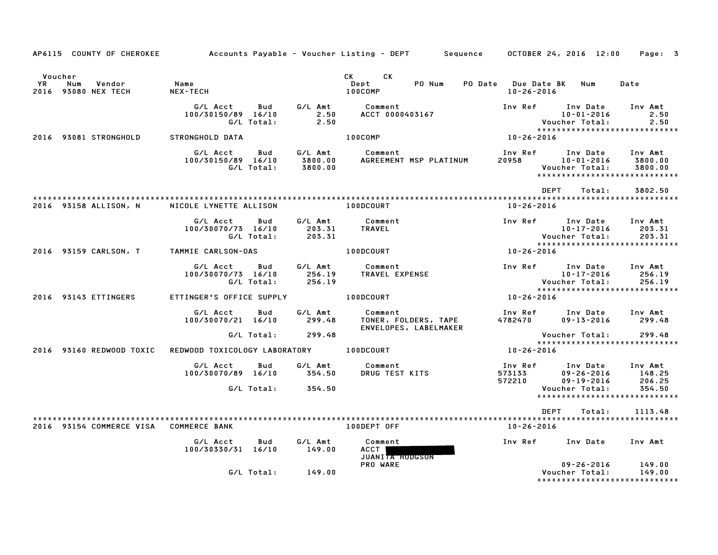|                      | AP6115 COUNTY OF CHEROKEE            |                                |                   |                               | Accounts Payable – Voucher Listing – DEPT         Sequence |                                         | OCTOBER 24, 2016 12:00                                                          | Page: 3                       |
|----------------------|--------------------------------------|--------------------------------|-------------------|-------------------------------|------------------------------------------------------------|-----------------------------------------|---------------------------------------------------------------------------------|-------------------------------|
| Voucher<br><b>YR</b> | Vendor<br>Num<br>2016 93080 NEX TECH | Name<br>NEX-TECH               |                   |                               | <b>CK</b><br>CK<br>Dept<br>PO Num<br>100COMP               | PO Date Due Date BK<br>$10 - 26 - 2016$ | Num                                                                             | Date                          |
|                      |                                      | G/L Acct<br>100/30150/89 16/10 | Bud<br>G/L Total: | G/L Amt<br>2.50<br>2.50       | Comment<br>ACCT 0000403167                                 | Inv Ref                                 | Inv Date<br>$10 - 01 - 2016$<br>Voucher Total:                                  | Inv Amt<br>2.50<br>2.50       |
|                      | 2016 93081 STRONGHOLD                | STRONGHOLD DATA                |                   |                               | 100COMP                                                    | 10-26-2016                              | *****************************                                                   |                               |
|                      |                                      | G/L Acct<br>100/30150/89 16/10 | Bud<br>G/L Total: | G/L Amt<br>3800.00<br>3800.00 | Comment<br>AGREEMENT MSP PLATINUM                          | Inv Ref<br>20958                        | Inv Date<br>$10 - 01 - 2016$<br>Voucher Total:<br>***************************** | Inv Amt<br>3800.00<br>3800.00 |
|                      |                                      |                                |                   |                               |                                                            | <b>DEPT</b>                             | Total:                                                                          | 3802.50                       |
|                      | 2016 93158 ALLISON, N                | NICOLE LYNETTE ALLISON         |                   |                               | 100DCOURT                                                  | $10 - 26 - 2016$                        |                                                                                 |                               |
|                      |                                      | G/L Acct<br>100/30070/73 16/10 | Bud<br>G/L Total: | G/L Amt<br>203.31<br>203.31   | Comment<br><b>TRAVEL</b>                                   | Inv Ref                                 | Inv Date<br>10-17-2016<br>Voucher Total:<br>******************************      | Inv Amt<br>203.31<br>203.31   |
|                      | 2016 93159 CARLSON, T                | TAMMIE CARLSON-OAS             |                   |                               | 100DCOURT                                                  | 10-26-2016                              |                                                                                 |                               |
|                      |                                      | G/L Acct<br>100/30070/73 16/10 | Bud<br>G/L Total: | G/L Amt<br>256.19<br>256.19   | Comment<br>TRAVEL EXPENSE                                  | Inv Ref                                 | Inv Date<br>$10 - 17 - 2016$<br>Voucher Total:                                  | Inv Amt<br>256.19<br>256.19   |
|                      | 2016 93143 ETTINGERS                 | ETTINGER'S OFFICE SUPPLY       |                   |                               | 100DCOURT                                                  | 10-26-2016                              | ******************************                                                  |                               |
|                      |                                      | G/L Acct<br>100/30070/21 16/10 | Bud               | G/L Amt<br>299.48             | Comment<br>TONER, FOLDERS, TAPE<br>ENVELOPES, LABELMAKER   | Inv Ref<br>4782470                      | Inv Date<br>$09 - 13 - 2016$                                                    | Inv Amt<br>299.48             |
|                      |                                      |                                | G/L Total:        | 299.48                        |                                                            |                                         | Voucher Total:<br>*****************************                                 | 299.48                        |
|                      | 2016 93160 REDWOOD TOXIC             | REDWOOD TOXICOLOGY LABORATORY  |                   |                               | 100DCOURT                                                  | 10-26-2016                              |                                                                                 |                               |
|                      |                                      | G/L Acct<br>100/30070/89 16/10 | Bud               | G/L Amt<br>354.50             | Comment<br>DRUG TEST KITS                                  | Inv Ref<br>573133<br>572210             | Inv Date<br>$09 - 26 - 2016$<br>$09 - 19 - 2016$                                | Inv Amt<br>148.25<br>206.25   |
|                      |                                      |                                | G/L Total:        | 354.50                        |                                                            |                                         | Voucher Total:<br>******************************                                | 354.50                        |
|                      | 2016 93154 COMMERCE VISA             | <b>COMMERCE BANK</b>           |                   |                               | 100DEPT OFF                                                | DEPT<br>10-26-2016                      | Total:                                                                          | 1113.48                       |
|                      |                                      | G/L Acct<br>100/30330/31 16/10 | Bud               | G/L Amt<br>149.00             | Comment<br>ACCT  <br><b>JUANITA HODGSON</b>                | Inv Ref                                 | Inv Date                                                                        | Inv Amt                       |
|                      |                                      |                                | G/L Total:        | 149.00                        | PRO WARE                                                   |                                         | $09 - 26 - 2016$<br>Voucher Total:<br>*****************************             | 149.00<br>149.00              |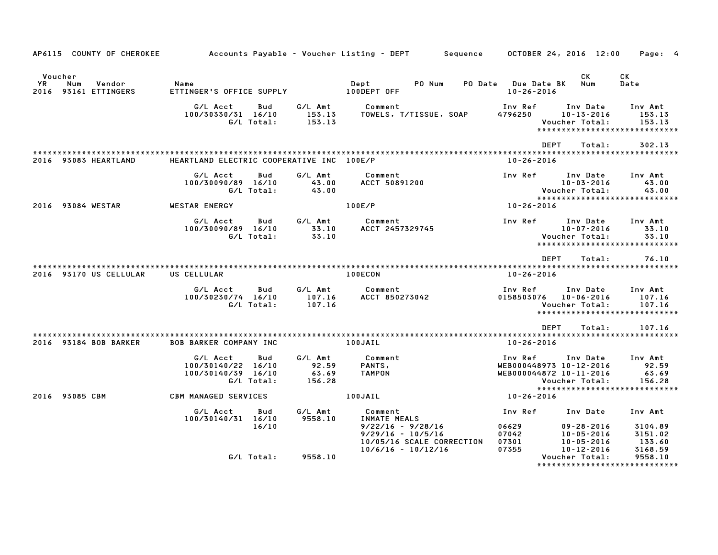| AP6115 COUNTY OF CHEROKEE                                 |                                                                           |                                     | Accounts Payable – Voucher Listing – DEPT<br>Sequence                                              |                                                               | OCTOBER 24, 2016 12:00                                               | Page: 4                                                       |
|-----------------------------------------------------------|---------------------------------------------------------------------------|-------------------------------------|----------------------------------------------------------------------------------------------------|---------------------------------------------------------------|----------------------------------------------------------------------|---------------------------------------------------------------|
| Voucher<br>YR<br>Num<br>Vendor<br>93161 ETTINGERS<br>2016 | Name<br>ETTINGER'S OFFICE SUPPLY                                          |                                     | Dept<br>PO Num<br>PO Date<br>100DEPT OFF                                                           | <b>Due Date BK</b><br>$10 - 26 - 2016$                        | <b>CK</b><br>Num                                                     | СK<br>Date                                                    |
|                                                           | G/L Acct<br>Bud<br>100/30330/31 16/10<br>G/L Total:                       | G/L Amt<br>153.13<br>153.13         | Comment<br>TOWELS, T/TISSUE, SOAP                                                                  | Inv Ref<br>4796250                                            | Inv Date<br>$10 - 13 - 2016$<br>Voucher Total:                       | Inv Amt<br>153.13<br>153.13<br>****************************** |
| 2016 93083 HEARTLAND                                      | HEARTLAND ELECTRIC COOPERATIVE INC 100E/P                                 |                                     |                                                                                                    | <b>DEPT</b><br>$10 - 26 - 2016$                               | Total:                                                               | 302.13                                                        |
|                                                           | G/L Acct<br>Bud<br>100/30090/89 16/10<br>G/L Total:                       | G/L Amt<br>43.00<br>43.00           | Comment<br><b>ACCT 50891200</b>                                                                    | Inv Ref                                                       | Inv Date<br>$10 - 03 - 2016$<br>Voucher Total:                       | Inv Amt<br>43.00<br>43.00<br>*****************************    |
| 2016 93084 WESTAR                                         | <b>WESTAR ENERGY</b>                                                      |                                     | 100E/P                                                                                             | 10-26-2016                                                    |                                                                      |                                                               |
|                                                           | G/L Acct<br>Bud<br>100/30090/89 16/10<br>G/L Total:                       | G/L Amt<br>33.10<br>33.10           | Comment<br>ACCT 2457329745                                                                         | Inv Ref                                                       | Inv Date<br>$10 - 07 - 2016$<br>Voucher Total:                       | Inv Amt<br>33.10<br>33.10<br>*****************************    |
|                                                           |                                                                           |                                     |                                                                                                    | <b>DEPT</b>                                                   | Total:                                                               | 76.10                                                         |
| 2016 93170 US CELLULAR                                    | US CELLULAR                                                               |                                     | 100ECON                                                                                            | $10 - 26 - 2016$                                              |                                                                      |                                                               |
|                                                           | G/L Acct<br>Bud<br>100/30230/74 16/10<br>G/L Total:                       | G/L Amt<br>107.16<br>107.16         | Comment<br>ACCT 850273042                                                                          | Inv Ref<br>0158503076                                         | Inv Date<br>$10 - 06 - 2016$<br>Voucher Total:                       | Inv Amt<br>107.16<br>107.16<br>*****************************  |
|                                                           |                                                                           |                                     |                                                                                                    | <b>DEPT</b>                                                   | Total:                                                               | 107.16                                                        |
| 2016 93184 BOB BARKER                                     | <b>BOB BARKER COMPANY INC</b>                                             |                                     | 100JAIL                                                                                            | $10 - 26 - 2016$                                              |                                                                      |                                                               |
|                                                           | G/L Acct<br>Bud<br>100/30140/22 16/10<br>100/30140/39 16/10<br>G/L Total: | G/L Amt<br>92.59<br>63.69<br>156.28 | Comment<br>PANTS,<br><b>TAMPON</b>                                                                 | Inv Ref<br>WEB000448973 10-12-2016<br>WEB000044872 10-11-2016 | Inv Date<br>Voucher Total:                                           | Inv Amt<br>92.59<br>63.69<br>156.28                           |
| 2016 93085 CBM                                            | <b>CBM MANAGED SERVICES</b>                                               |                                     | 100JAIL                                                                                            | 10-26-2016                                                    |                                                                      | *****************************                                 |
|                                                           | G/L Acct<br>Bud<br>100/30140/31 16/10<br>16/10                            | G/L Amt<br>9558.10                  | Comment<br>INMATE MEALS<br>$9/22/16 - 9/28/16$<br>$9/29/16 - 10/5/16$<br>10/05/16 SCALE CORRECTION | Inv Ref<br>06629<br>07042<br>07301                            | Inv Date<br>$09 - 28 - 2016$<br>$10 - 05 - 2016$<br>$10 - 05 - 2016$ | Inv Amt<br>3104.89<br>3151.02<br>133.60                       |
|                                                           | G/L Total:                                                                | 9558.10                             | $10/6/16 - 10/12/16$                                                                               | 07355                                                         | $10 - 12 - 2016$<br>Voucher Total:<br>****************               | 3168.59<br>9558.10<br><b>. * * * * * * * * * * * *</b>        |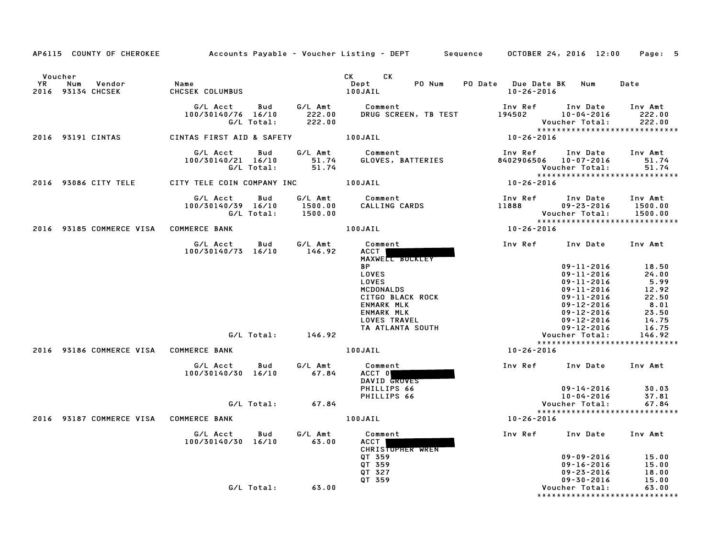| AP6115 COUNTY OF CHEROKEE                        |        |                                        |                   |                               | Accounts Payable – Voucher Listing – DEPT         Sequence       OCTOBER 24, 2016  12:00                                                   |                                       |                                                                                                                                              | Page: 5                                                                     |
|--------------------------------------------------|--------|----------------------------------------|-------------------|-------------------------------|--------------------------------------------------------------------------------------------------------------------------------------------|---------------------------------------|----------------------------------------------------------------------------------------------------------------------------------------------|-----------------------------------------------------------------------------|
| Voucher<br><b>YR</b><br>Num<br>2016 93134 CHCSEK | Vendor | Name<br>CHCSEK COLUMBUS                |                   |                               | CK CK<br>Dept<br>PO Num<br>100JAIL                                                                                                         | PO Date Due Date BK Num<br>10-26-2016 |                                                                                                                                              | Date                                                                        |
|                                                  |        | G/L Acct<br>100/30140/76 16/10         | Bud<br>G/L Total: | 222.00<br>222.00              | G/L Amt Comment<br>DRUG SCREEN, TB TEST                                                                                                    | Inv Ref<br>194502                     | Inv Date<br>10-04-2016<br>Voucher Total:<br>*****************************                                                                    | Inv Amt<br>222.00<br>222.00                                                 |
| 2016 93191 CINTAS                                |        | CINTAS FIRST AID & SAFETY 100JAIL      |                   |                               |                                                                                                                                            | $10 - 26 - 2016$                      |                                                                                                                                              |                                                                             |
|                                                  |        | G/L Acct Bud<br>100/30140/21 16/10     | G/L Total:        | G/L Amt<br>51.74<br>51.74     | Comment<br>GLOVES, BATTERIES                                                                                                               |                                       | Inv Ref      Inv Date<br>8402906506 10-07-2016<br>Voucher Total:<br>*****************************                                            | Inv Amt<br>51.74<br>51.74                                                   |
| 2016 93086 CITY TELE                             |        | CITY TELE COIN COMPANY INC 100JAIL     |                   |                               |                                                                                                                                            | $10 - 26 - 2016$                      |                                                                                                                                              |                                                                             |
|                                                  |        | G/L Acct<br>100/30140/39 16/10         | Bud<br>G/L Total: | G/L Amt<br>1500.00<br>1500.00 | Comment<br>CALLING CARDS                                                                                                                   | Inv Ref<br>11888                      | Inv Date<br>09-23-2016<br>Voucher Total:                                                                                                     | Inv Amt<br>1500.00<br>1500.00                                               |
|                                                  |        | 2016 93185 COMMERCE VISA COMMERCE BANK |                   |                               | 100JAIL                                                                                                                                    | $10 - 26 - 2016$                      | *****************************                                                                                                                |                                                                             |
|                                                  |        | G/L Acct<br>100/30140/73 16/10         | <b>Bud</b>        | G/L Amt<br>146.92             | Comment<br>ACCT<br>MAXWELL BUCKLEY                                                                                                         |                                       | Inv Ref Inv Date Inv Amt                                                                                                                     |                                                                             |
|                                                  |        |                                        |                   |                               | <b>BP</b><br><b>LOVES</b><br><b>LOVES</b><br>MCDONALDS<br>CITGO BLACK ROCK<br>ENMARK MLK<br>ENMARK MLK<br>LOVES TRAVEL<br>TA ATLANTA SOUTH |                                       | $09 - 11 - 2016$<br>$09 - 11 - 2016$<br>09-11-2016<br>09-11-2016<br>09-11-2016<br>09-12-2016<br>09-12-2016<br>09-12-2016<br>$09 - 12 - 2016$ | 18.50<br>24.00<br>5.99<br>12.92<br>22.50<br>8.01<br>23.50<br>14.75<br>16.75 |
|                                                  |        |                                        |                   | $G/L$ Total: $146.92$         |                                                                                                                                            |                                       | Voucher Total:<br>*****************************                                                                                              | 146.92                                                                      |
|                                                  |        | 2016 93186 COMMERCE VISA COMMERCE BANK |                   |                               | 100JAIL                                                                                                                                    | 10-26-2016                            |                                                                                                                                              |                                                                             |
|                                                  |        | G/L Acct<br>100/30140/30 16/10         | Bud               | G/L Amt<br>67.84              | Comment<br>ACCT 0<br>DAVID GROVES                                                                                                          |                                       | Inv Ref Inv Date Inv Amt                                                                                                                     |                                                                             |
|                                                  |        |                                        |                   |                               | PHILLIPS 66<br>PHILLIPS 66                                                                                                                 |                                       | $09 - 14 - 2016$<br>10-04-2016                                                                                                               | 30.03<br>37.81                                                              |
|                                                  |        |                                        |                   | $G/L$ Total: 67.84            |                                                                                                                                            |                                       | Voucher Total:<br>*****************************                                                                                              | 67.84                                                                       |
|                                                  |        | 2016 93187 COMMERCE VISA COMMERCE BANK |                   |                               | 100JAIL                                                                                                                                    | 10-26-2016                            |                                                                                                                                              |                                                                             |
|                                                  |        | G/L Acct<br>100/30140/30 16/10         | Bud               | G/L Amt<br>63.00              | Comment<br>ACCT  <br>CHRISTOPHER WREN<br>QT 359                                                                                            |                                       | Inv Ref Inv Date Inv Amt<br>09-09-2016                                                                                                       | 15.00                                                                       |
|                                                  |        |                                        |                   |                               | QT 359<br>QT 327<br>QT 359                                                                                                                 |                                       | 09-16-2016<br>09-23-2016<br>09-30-2016                                                                                                       | 15.00<br>18.00<br>15.00                                                     |
|                                                  |        |                                        |                   | $G/L$ Total: 63.00            |                                                                                                                                            |                                       | Voucher Total:<br>******************************                                                                                             | 63.00                                                                       |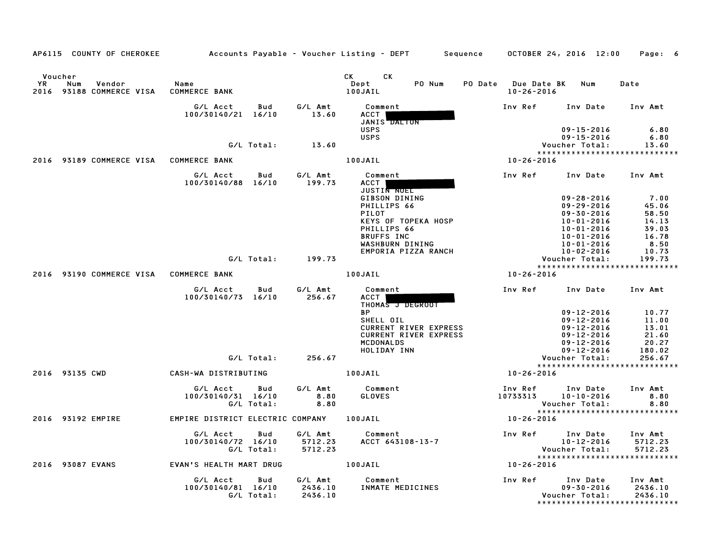|                              |                                        |                                                     |                               | AP6115 COUNTY OF CHEROKEE 6 Accounts Payable - Voucher Listing - DEPT 5 Sequence 6 OCTOBER 24, 2016 12:00 Page: 6  |                                             |                                                                                              |                                                                                |
|------------------------------|----------------------------------------|-----------------------------------------------------|-------------------------------|--------------------------------------------------------------------------------------------------------------------|---------------------------------------------|----------------------------------------------------------------------------------------------|--------------------------------------------------------------------------------|
| Voucher<br><b>YR</b><br>2016 | Num<br>Vendor<br>93188 COMMERCE VISA   | Name<br><b>COMMERCE BANK</b>                        |                               | CK CK<br>PO Num<br>Dept<br>100JAIL                                                                                 | PO Date Due Date BK Num<br>$10 - 26 - 2016$ |                                                                                              | Date                                                                           |
|                              |                                        | G/L Acct<br>Bud<br>100/30140/21 16/10               | G/L Amt<br>13.60              | Comment<br>ACCT<br>JANIS DALTON                                                                                    | Inv Ref                                     | Inv Date Inv Amt                                                                             |                                                                                |
|                              |                                        | G/L Total:                                          | 13.60                         | <b>USPS</b><br><b>USPS</b>                                                                                         |                                             | $09 - 15 - 2016$<br>$09 - 15 - 2016$<br>Voucher Total:                                       | 6.80<br>6.80<br>13.60                                                          |
|                              | 2016 93189 COMMERCE VISA COMMERCE BANK |                                                     |                               | 100JAIL                                                                                                            | 10-26-2016                                  |                                                                                              | *****************************                                                  |
|                              |                                        | G/L Acct<br>Bud<br>100/30140/88 16/10               | G/L Amt<br>199.73             | Comment<br>ACCT  <br><b>JUSTIN NOEL</b>                                                                            | Inv Ref Inv Date                            |                                                                                              | Inv Amt                                                                        |
|                              |                                        |                                                     |                               | GIBSON DINING<br>PHILLIPS 66<br>PILOT<br>KEYS OF TOPEKA HOSP<br>PHILLIPS 66                                        |                                             | $09 - 28 - 2016$<br>$09 - 29 - 2016$<br>$09 - 30 - 2016$<br>10-01-2016<br>10-01-2016         | 7.00<br>45.06<br>58.50<br>14.13<br>39.03                                       |
|                              |                                        |                                                     |                               | <b>BRUFFS INC</b><br>WASHBURN DINING                                                                               |                                             | 10-01-2016<br>10-01-2016                                                                     | 16.78<br>8.50                                                                  |
|                              |                                        | G/L Total: 199.73                                   |                               | EMPORIA PIZZA RANCH                                                                                                |                                             | $10 - 02 - 2016$<br>Voucher Total:                                                           | 10.73<br>199.73                                                                |
|                              |                                        |                                                     |                               |                                                                                                                    |                                             |                                                                                              | *****************************                                                  |
|                              | 2016 93190 COMMERCE VISA COMMERCE BANK |                                                     |                               | <b>100JAIL</b>                                                                                                     | 10-26-2016                                  |                                                                                              |                                                                                |
|                              |                                        | G/L Acct<br>Bud<br>100/30140/73 16/10               | G/L Amt<br>256.67             | Comment<br>ACCT I<br>THOMAS J DEGROOT                                                                              | Inv Ref      Inv Date                       |                                                                                              | Inv Amt                                                                        |
|                              |                                        |                                                     |                               | <b>BP</b><br>SHELL OIL<br><b>CURRENT RIVER EXPRESS</b><br><b>CURRENT RIVER EXPRESS</b><br>MCDONALDS<br>HOLIDAY INN |                                             | $09 - 12 - 2016$<br>$09 - 12 - 2016$<br>09-12-2016<br>09-12-2016<br>09-12-2016<br>09-12-2016 | $\begin{array}{c} 10.77\ 11.00\ 13.01 \end{array}$<br>21.60<br>20.27<br>180.02 |
|                              |                                        | G/L Total:                                          | 256.67                        |                                                                                                                    |                                             | Voucher Total:                                                                               | 256.67                                                                         |
|                              | 2016 93135 CWD                         | CASH-WA DISTRIBUTING                                |                               | 100JAIL                                                                                                            | 10-26-2016                                  |                                                                                              | *****************************                                                  |
|                              |                                        | G/L Acct<br>Bud<br>100/30140/31 16/10<br>G/L Total: | G/L Amt<br>8.80<br>8.80       | Comment<br>GLOVES                                                                                                  | Inv Ref<br>10733313                         | Inv Date<br>10-10-2016                                                                       | Inv Amt<br>8.80<br>Voucher Total: 8.80<br>****************************         |
|                              | 2016 93192 EMPIRE                      | EMPIRE DISTRICT ELECTRIC COMPANY 100JAIL            |                               |                                                                                                                    | 10-26-2016                                  |                                                                                              |                                                                                |
|                              |                                        | G/L Acct<br>Bud<br>100/30140/72 16/10<br>G/L Total: | G/L Amt<br>5712.23<br>5712.23 | Comment<br>ACCT 643108-13-7                                                                                        | Inv Ref Inv Date                            | 10-12-2016<br>Voucher Total:                                                                 | Inv Amt<br>5712.23<br>5712.23                                                  |
|                              | 2016 93087 EVANS                       | EVAN'S HEALTH MART DRUG                             | 100JAIL                       |                                                                                                                    | 10-26-2016                                  |                                                                                              | *****************************                                                  |
|                              |                                        | G/L Acct<br>Bud<br>100/30140/81 16/10<br>G/L Total: | G/L Amt<br>2436.10<br>2436.10 | Comment<br>INMATE MEDICINES                                                                                        | Inv Ref                                     | Inv Date<br>$09 - 30 - 2016$<br>Voucher Total:                                               | Inv Amt<br>2436.10<br>2436.10<br>*****************************                 |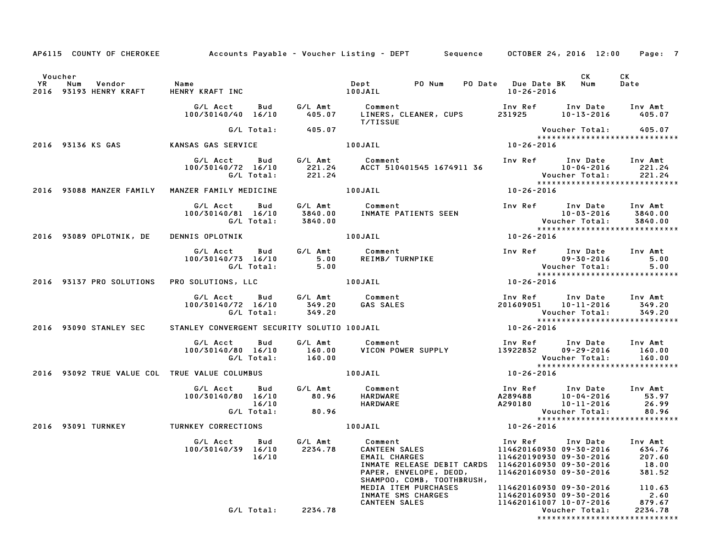|         |                                                          |                                                     | AP6115 COUNTY OF CHEROKEE Accounts Payable - Voucher Listing - DEPT Sequence OCTOBER 24, 2016 12:00 Page: 7                                                                                                                                                           |                                                                                                                                                                                                             |  |
|---------|----------------------------------------------------------|-----------------------------------------------------|-----------------------------------------------------------------------------------------------------------------------------------------------------------------------------------------------------------------------------------------------------------------------|-------------------------------------------------------------------------------------------------------------------------------------------------------------------------------------------------------------|--|
| Voucher | YR Num Vendor - Name<br>2016 93193 HENRY KRAFT - HENRY I |                                                     |                                                                                                                                                                                                                                                                       | CK to the control of the control of the control of the control of the control of the control of the control of<br>CK<br>Date                                                                                |  |
|         |                                                          |                                                     | <b>T/TISSUE</b>                                                                                                                                                                                                                                                       |                                                                                                                                                                                                             |  |
|         |                                                          | G/L Total: 405.07                                   |                                                                                                                                                                                                                                                                       |                                                                                                                                                                                                             |  |
|         |                                                          | 2016 93136 KS GAS KANSAS GAS SERVICE                | 100JAIL                                                                                                                                                                                                                                                               | Voucher Total: 405.07<br>******************************<br>10-26-2016                                                                                                                                       |  |
|         |                                                          |                                                     | G/L Acct Bud G/L Amt Comment Inv Ref Inv Date Inv Amt<br>100/30140/72 16/10 221.24 ACCT 510401545 1674911 36 10–04–2016 221.24<br>G/L Total: 221.24 ACCT 510401545 1674911 36 Voucher Total: 221.24<br>********************************                               |                                                                                                                                                                                                             |  |
|         |                                                          | 2016 93088 MANZER FAMILY MANZER FAMILY MEDICINE     | 100JAIL                                                                                                                                                                                                                                                               | $10 - 26 - 2016$                                                                                                                                                                                            |  |
|         |                                                          |                                                     | G/L Acct Bud G/L Amt Comment Inv Ref Inv Date Inv Amt<br>100/30140/81 16/10 3840.00 INMATE PATIENTS SEEN IO-03-2016 3840.00<br>C/L Total: 3840.00 G/L Total: 3840.00 Voucher Total: 3840.00<br>2016 93089 OPLOTNIK, DE DENNIS OPLOTNIK                                |                                                                                                                                                                                                             |  |
|         |                                                          |                                                     |                                                                                                                                                                                                                                                                       |                                                                                                                                                                                                             |  |
|         |                                                          |                                                     | G/LAcct Bud G/LAmt Comment<br>100/30140/73 16/10 5.00 REIMB/TURNPIKE 100-30-30-2016 5.00<br>G/LTotal: 5.00 REIMB/TURNPIKE 100-30-2016 5.00<br>100JAIL 1026-2016 10-26-2016 10-26-2016                                                                                 |                                                                                                                                                                                                             |  |
|         |                                                          | 2016 93137 PRO SOLUTIONS PRO SOLUTIONS, LLC 100JAIL |                                                                                                                                                                                                                                                                       |                                                                                                                                                                                                             |  |
|         |                                                          |                                                     | G/L Acct Bud G/L Amt Comment Inv Ref Inv Date Inv Amt<br>100/30140/72 16/10 349.20 GAS SALES 201609051 10-11-2016 349.20<br>2016 93090 STANLEY SEC STANLEY CONVERGENT SECURITY SOLUTIO 100JAIL 100/26-2016 201609051 10-26-2016                                       | ******************************                                                                                                                                                                              |  |
|         |                                                          |                                                     |                                                                                                                                                                                                                                                                       |                                                                                                                                                                                                             |  |
|         |                                                          |                                                     | G/LAcct Bud G/LAmt Comment Inv Ref Inv Date Inv Amt<br>100/30140/80 16/10 160.00 VICON POWER SUPPLY 13922832 09-29-2016 160.00<br>C/LTotal: 160.00 VICON POWER SUPPLY 13922832 09-29-2016 160.00<br>2016 93092 TRUE VALUE COL TRUE VALU                               |                                                                                                                                                                                                             |  |
|         |                                                          |                                                     |                                                                                                                                                                                                                                                                       |                                                                                                                                                                                                             |  |
|         |                                                          |                                                     | 2016 93092 IRUE VALUE COLL IRUE VALUE CULUMBUS<br>G/L Acct Bud G/L Amt Comment Inv Ref Inv Date Inv Amt<br>100/30140/80 16/10 80.96 HARDWARE A289488 10-10-2016 53.97<br>G/L Total: 80.96 HARDWARE A290180 10-11-2016 26.99<br>C/L Total                              | *****************************                                                                                                                                                                               |  |
|         |                                                          |                                                     |                                                                                                                                                                                                                                                                       |                                                                                                                                                                                                             |  |
|         |                                                          |                                                     | 6/L Acct Bud G/L Amt Comment Inv Ref Inv Date Inv Amt<br>100/30140/39 16/10 2234.78 CANTEEN SALES 114620160930 09-30-2016 634.76<br>16/10 INMATE RELEASE DEBIT CARDS 114620160930 09-30-2016 16.00<br>18.00 PAPER, ENVELOPE, DEOD, 1146<br>SHAMPOO, COMB, TOOTHBRUSH, |                                                                                                                                                                                                             |  |
|         |                                                          | G/L Total: 2234.78                                  |                                                                                                                                                                                                                                                                       | MEDIA ITEM PURCHASES<br>INMATE SMS CHARGES<br>CANTEEN SALES<br>CANTEEN SALES<br>CANTEEN SALES<br>CANTEEN SALES<br>CANTEEN SALES<br>CANTEEN SALES<br>CANTEEN SALES<br>CONTER SALES<br>Voucher Total: 2234.78 |  |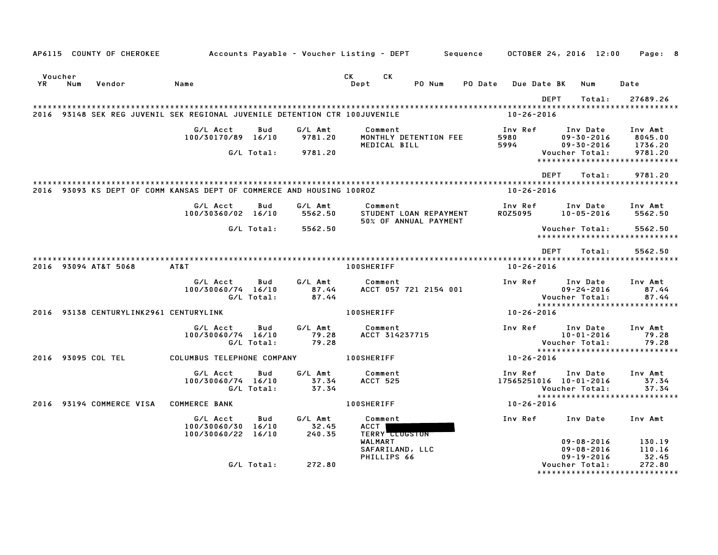|                |     | AP6115 COUNTY OF CHEROKEE              | Accounts Payable – Voucher Listing – DEPT         Sequence                 |                   |                            |                        |                                                     |        |         |                                   | OCTOBER 24, 2016 12:00 |                                                  |                                |      | Page: 8                     |  |
|----------------|-----|----------------------------------------|----------------------------------------------------------------------------|-------------------|----------------------------|------------------------|-----------------------------------------------------|--------|---------|-----------------------------------|------------------------|--------------------------------------------------|--------------------------------|------|-----------------------------|--|
| Voucher<br>YR. | Num | Vendor                                 | Name                                                                       |                   |                            | CK<br>Dept             | CK                                                  | PO Num | PO Date |                                   | Due Date BK            |                                                  | Num                            | Date |                             |  |
|                |     |                                        |                                                                            |                   |                            |                        |                                                     |        |         |                                   | DEPT                   |                                                  | Total:                         |      | 27689.26                    |  |
|                |     |                                        | 2016 93148 SEK REG JUVENIL SEK REGIONAL JUVENILE DETENTION CTR 100JUVENILE |                   |                            |                        |                                                     |        |         |                                   | $10 - 26 - 2016$       |                                                  |                                |      |                             |  |
|                |     |                                        |                                                                            |                   |                            |                        |                                                     |        |         |                                   |                        |                                                  |                                |      |                             |  |
|                |     |                                        | G/L Acct<br>100/30170/89 16/10                                             | Bud               | G/L Amt<br>9781.20         |                        | Comment<br>MONTHLY DETENTION FEE<br>MEDICAL BILL    |        |         | Inv Ref<br>5980<br>5994           |                        | Inv Date<br>$09 - 30 - 2016$                     |                                |      | Inv Amt<br>8045.00          |  |
|                |     |                                        |                                                                            | G/L Total:        | 9781.20                    |                        |                                                     |        |         |                                   |                        | $09 - 30 - 2016$<br>Voucher Total:               | *****************************  |      | 1736.20<br>9781.20          |  |
|                |     |                                        |                                                                            |                   |                            |                        |                                                     |        |         |                                   | <b>DEPT</b>            |                                                  | Total:                         |      | 9781.20                     |  |
|                |     |                                        | 2016 93093 KS DEPT OF COMM KANSAS DEPT OF COMMERCE AND HOUSING 100ROZ      |                   |                            |                        |                                                     |        |         |                                   | $10 - 26 - 2016$       |                                                  |                                |      |                             |  |
|                |     |                                        | G/L Acct                                                                   | Bud               | G/L Amt                    |                        | Comment                                             |        |         | Inv Ref                           |                        | Inv Date                                         |                                |      | Inv Amt                     |  |
|                |     |                                        | 100/30360/02 16/10                                                         |                   | 5562.50                    |                        | STUDENT LOAN REPAYMENT<br>50% OF ANNUAL PAYMENT     |        |         | R0Z5095                           |                        | $10 - 05 - 2016$                                 |                                |      | 5562.50                     |  |
|                |     |                                        |                                                                            | G/L Total:        | 5562.50                    |                        |                                                     |        |         |                                   |                        | Voucher Total:                                   | *****************************  |      | 5562.50                     |  |
|                |     |                                        |                                                                            |                   |                            |                        |                                                     |        |         |                                   |                        |                                                  |                                |      |                             |  |
|                |     |                                        |                                                                            |                   |                            |                        |                                                     |        |         |                                   | <b>DEPT</b>            |                                                  | Total:                         |      | 5562.50                     |  |
|                |     | 2016 93094 AT&T 5068                   | AT&T                                                                       |                   |                            | <b>100SHERIFF</b>      |                                                     |        |         |                                   | $10 - 26 - 2016$       |                                                  |                                |      |                             |  |
|                |     |                                        | G/L Acct<br>100/30060/74 16/10                                             | Bud<br>G/L Total: | G/L Amt<br>87.44<br>87.44  |                        | Comment<br>ACCT 057 721 2154 001                    |        |         | Inv Ref                           |                        | Inv Date<br>$09 - 24 - 2016$<br>Voucher Total:   | *****************************  |      | Inv Amt<br>87.44<br>87.44   |  |
|                |     | 2016 93138 CENTURYLINK2961 CENTURYLINK |                                                                            |                   |                            | <b>100SHERIFF</b>      |                                                     |        |         |                                   | 10-26-2016             |                                                  |                                |      |                             |  |
|                |     |                                        | G/L Acct<br>100/30060/74 16/10                                             | Bud<br>G/L Total: | G/L Amt<br>79.28<br>79.28  |                        | Comment<br>ACCT 314237715                           |        |         | Inv Ref                           |                        | Inv Date<br>$10 - 01 - 2016$<br>Voucher Total:   |                                |      | Inv Amt<br>79.28<br>79.28   |  |
|                |     | 2016 93095 COL TEL                     | COLUMBUS TELEPHONE COMPANY                                                 |                   |                            | <b>100SHERIFF</b>      |                                                     |        |         | 10-26-2016                        |                        |                                                  | *****************************  |      |                             |  |
|                |     |                                        | G/L Acct<br>100/30060/74 16/10                                             | Bud<br>G/L Total: | G/L Amt<br>37.34<br>37.34  |                        | Comment<br><b>ACCT 525</b>                          |        |         | Inv Ref<br>17565251016 10-01-2016 |                        | Inv Date<br>Voucher Total:                       | ****************************** |      | Inv Amt<br>37.34<br>37.34   |  |
|                |     | 2016 93194 COMMERCE VISA               | <b>COMMERCE BANK</b>                                                       |                   |                            | <b>100SHERIFF</b>      |                                                     |        |         | 10-26-2016                        |                        |                                                  |                                |      |                             |  |
|                |     |                                        | G/L Acct<br>100/30060/30 16/10<br>100/30060/22 16/10                       | Bud               | G/L Amt<br>32.45<br>240.35 | <b>ACCT</b><br>WALMART | Comment<br><b>TERRY CLUGSTON</b><br>SAFARILAND, LLC |        |         | Inv Ref                           |                        | Inv Date<br>$09 - 08 - 2016$<br>$09 - 08 - 2016$ |                                |      | Inv Amt<br>130.19<br>110.16 |  |
|                |     |                                        |                                                                            | G/L Total:        | 272.80                     |                        | PHILLIPS 66                                         |        |         |                                   |                        | $09 - 19 - 2016$<br>Voucher Total:               | *****************************  |      | 32.45<br>272.80             |  |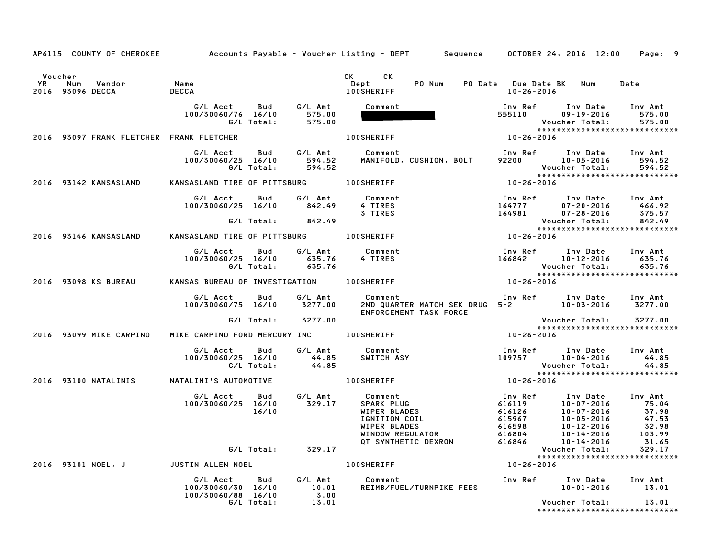|    |                                          |                                           |                       | AP6115 COUNTY OF CHEROKEE Accounts Payable - Voucher Listing - DEPT Sequence OCTOBER 24, 2016 12:00                                                                                                                                  |                                             |                                                                                                                                                               | Page: 9                  |
|----|------------------------------------------|-------------------------------------------|-----------------------|--------------------------------------------------------------------------------------------------------------------------------------------------------------------------------------------------------------------------------------|---------------------------------------------|---------------------------------------------------------------------------------------------------------------------------------------------------------------|--------------------------|
|    |                                          |                                           |                       |                                                                                                                                                                                                                                      |                                             |                                                                                                                                                               |                          |
|    | Voucher                                  |                                           |                       | CK and the set of the set of the set of the set of the set of the set of the set of the set of the set of the set of the set of the set of the set of the set of the set of the set of the set of the set of the set of the se<br>CK |                                             |                                                                                                                                                               |                          |
| YR | Num<br>Vendor<br>2016 93096 DECCA        | Name<br><b>DECCA</b>                      |                       | PO Num<br>Dept<br><b>100SHERIFF</b>                                                                                                                                                                                                  | PO Date Due Date BK Num<br>$10 - 26 - 2016$ |                                                                                                                                                               | Date                     |
|    |                                          | G/L Acct                                  | G/L Amt               | Comment                                                                                                                                                                                                                              |                                             |                                                                                                                                                               |                          |
|    |                                          | Bud<br>100/30060/76 16/10                 | 575.00                |                                                                                                                                                                                                                                      | 555110                                      | Inv Ref Inv Date<br>09-19-2016                                                                                                                                | Inv Amt<br>575.00        |
|    |                                          | G/L Total:                                | 575.00                |                                                                                                                                                                                                                                      |                                             | Voucher Total:                                                                                                                                                | 575.00                   |
|    | 2016 93097 FRANK FLETCHER FRANK FLETCHER |                                           |                       | <b>100SHERIFF</b>                                                                                                                                                                                                                    | $10 - 26 - 2016$                            | ******************************                                                                                                                                |                          |
|    |                                          |                                           |                       |                                                                                                                                                                                                                                      |                                             |                                                                                                                                                               |                          |
|    |                                          | G/L Acct<br>100/30060/25 16/10            | Bud G/L Amt<br>594.52 | Comment<br>MANIFOLD, CUSHION, BOLT                                                                                                                                                                                                   |                                             | Inv Ref      Inv Date     Inv Amt<br>92200 10-05-2016                                                                                                         | 594.52                   |
|    |                                          | G/L Total:                                | 594.52                |                                                                                                                                                                                                                                      |                                             | Voucher Total:                                                                                                                                                | 594.52                   |
|    |                                          |                                           |                       |                                                                                                                                                                                                                                      |                                             | ******************************                                                                                                                                |                          |
|    | 2016 93142 KANSASLAND                    | KANSASLAND TIRE OF PITTSBURG 100SHERIFF   |                       |                                                                                                                                                                                                                                      | $10 - 26 - 2016$                            |                                                                                                                                                               |                          |
|    |                                          | G/L Acct<br>Bud                           | G/L Amt               | Comment                                                                                                                                                                                                                              | Inv Ref                                     | Inv Date Inv Amt                                                                                                                                              |                          |
|    |                                          | 100/30060/25 16/10                        | 842.49                | 4 TIRES<br>3 TIRES                                                                                                                                                                                                                   | 164777<br>164981                            | $07 - 20 - 2016$<br>$07 - 28 - 2016$                                                                                                                          | 466.92<br>375.57         |
|    |                                          | G/L Total: 842.49                         |                       |                                                                                                                                                                                                                                      |                                             | Voucher Total:                                                                                                                                                | 842.49                   |
|    |                                          |                                           |                       |                                                                                                                                                                                                                                      |                                             | *****************************                                                                                                                                 |                          |
|    | 2016 93146 KANSASLAND                    | KANSASLAND TIRE OF PITTSBURG 100SHERIFF   |                       |                                                                                                                                                                                                                                      | $10 - 26 - 2016$                            |                                                                                                                                                               |                          |
|    |                                          | G/L Acct<br>Bud                           | G/L Amt               | Comment                                                                                                                                                                                                                              |                                             | Inv Ref      Inv Date     Inv Amt                                                                                                                             |                          |
|    |                                          | 100/30060/25 16/10<br>G/L Total:          | 635.76<br>635.76      | 4 TIRES                                                                                                                                                                                                                              |                                             | 166842 10-12-2016<br>Voucher Total:                                                                                                                           | 635.76<br>635.76         |
|    |                                          |                                           |                       |                                                                                                                                                                                                                                      |                                             | ******************************                                                                                                                                |                          |
|    | 2016 93098 KS BUREAU                     | KANSAS BUREAU OF INVESTIGATION 100SHERIFF |                       |                                                                                                                                                                                                                                      | $10 - 26 - 2016$                            |                                                                                                                                                               |                          |
|    |                                          | G/L Acct<br>Bud                           | G/L Amt               | Comment                                                                                                                                                                                                                              |                                             | Inv Ref Inv Date Inv Amt                                                                                                                                      |                          |
|    |                                          | 100/30060/75 16/10 3277.00                |                       | 2ND QUARTER MATCH SEK DRUG 5-2 10-03-2016 3277.00<br>ENFORCEMENT TASK FORCE                                                                                                                                                          |                                             |                                                                                                                                                               |                          |
|    |                                          | G/L Total:                                | 3277.00               |                                                                                                                                                                                                                                      |                                             |                                                                                                                                                               |                          |
|    |                                          |                                           |                       |                                                                                                                                                                                                                                      |                                             | Voucher Total: 3277.00<br>*****************************                                                                                                       |                          |
|    | 2016 93099 MIKE CARPINO                  | MIKE CARPINO FORD MERCURY INC 100SHERIFF  |                       |                                                                                                                                                                                                                                      | 10-26-2016                                  |                                                                                                                                                               |                          |
|    |                                          | <b>Bud</b><br>G/L Acct                    | G/L Amt               | Comment                                                                                                                                                                                                                              |                                             | Inv Ref      Inv Date     Inv Amt                                                                                                                             |                          |
|    |                                          | 100/30060/25 16/10<br>G/L Total:          | 44.85<br>44.85        | SWITCH ASY                                                                                                                                                                                                                           |                                             | 109757 10-04-2016<br>Voucher Total:                                                                                                                           | 44.85<br>44.85           |
|    |                                          |                                           |                       |                                                                                                                                                                                                                                      |                                             | *****************************                                                                                                                                 |                          |
|    | 2016 93100 NATALINIS                     | NATALINI'S AUTOMOTIVE                     |                       | <b>100SHERIFF</b>                                                                                                                                                                                                                    | $10 - 26 - 2016$                            |                                                                                                                                                               |                          |
|    |                                          | G/L Acct Bud                              | G/L Amt               | Comment<br>Comment<br>SPARK PLUG<br>WIPER BLADES<br>IGNITION COIL<br>WIPER BLADES<br>WINDOW REGULATOR<br>QT SYNTHETIC DEXRON                                                                                                         | Inv Ref                                     | Inv Date Inv Amt                                                                                                                                              |                          |
|    |                                          | 100/30060/25 16/10                        | 329.17                |                                                                                                                                                                                                                                      |                                             | 10-07-2016<br>10-07-2016<br>10-07-2016<br>10-07-2016<br>10-05-2016<br>10-12-2016<br>10-14-2016<br>16884<br>10-14-2016<br>10-07-2016 75.04<br>10-07-2016 37.98 |                          |
|    |                                          | 16/10                                     |                       |                                                                                                                                                                                                                                      |                                             |                                                                                                                                                               |                          |
|    |                                          |                                           |                       |                                                                                                                                                                                                                                      |                                             |                                                                                                                                                               | 47.53                    |
|    |                                          |                                           |                       |                                                                                                                                                                                                                                      |                                             |                                                                                                                                                               | 32.98<br>103.99<br>31.65 |
|    |                                          |                                           |                       |                                                                                                                                                                                                                                      |                                             |                                                                                                                                                               |                          |
|    |                                          | G/L Total: 329.17                         |                       |                                                                                                                                                                                                                                      |                                             | Voucher Total:                                                                                                                                                | 329.17                   |
|    | 2016 93101 NOEL, J                       |                                           |                       | <b>100SHERIFF</b>                                                                                                                                                                                                                    | 10-26-2016                                  | *****************************                                                                                                                                 |                          |
|    |                                          | JUSTIN ALLEN NOEL                         |                       |                                                                                                                                                                                                                                      |                                             |                                                                                                                                                               |                          |
|    |                                          | G/L Acct<br>Bud                           | G/L Amt               | Comment                                                                                                                                                                                                                              |                                             | Inv Ref Inv Date                                                                                                                                              | Inv Amt                  |
|    |                                          | 100/30060/30 16/10<br>100/30060/88 16/10  | 10.01<br>3.00         | REIMB/FUEL/TURNPIKE FEES                                                                                                                                                                                                             |                                             | 10-01-2016                                                                                                                                                    | 13.01                    |
|    |                                          | G/L Total:                                | 13.01                 |                                                                                                                                                                                                                                      |                                             | Voucher Total:                                                                                                                                                | 13.01                    |
|    |                                          |                                           |                       |                                                                                                                                                                                                                                      |                                             | *****************************                                                                                                                                 |                          |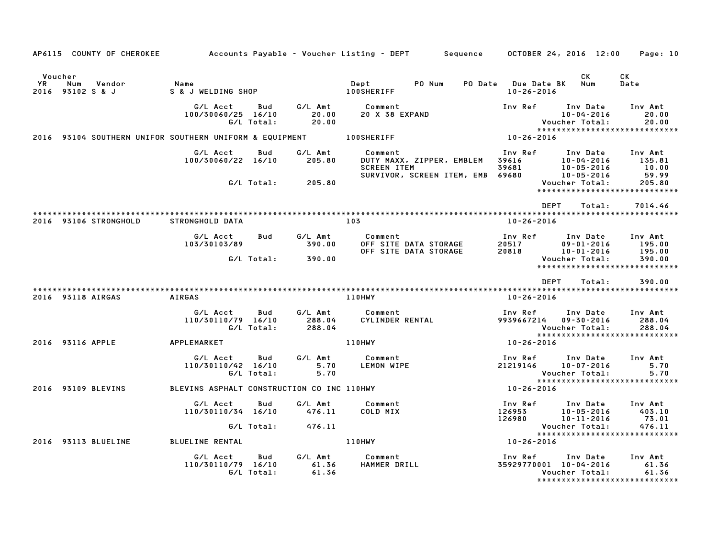|               | AP6115 COUNTY OF CHEROKEE                               |                                            |                   |                             | Accounts Payable – Voucher Listing – DEPT         Sequence       OCTOBER 24, 2016  12:00       |                                                                                              |                                                | Page: 10                                                    |
|---------------|---------------------------------------------------------|--------------------------------------------|-------------------|-----------------------------|------------------------------------------------------------------------------------------------|----------------------------------------------------------------------------------------------|------------------------------------------------|-------------------------------------------------------------|
| Voucher<br>YR | Num<br>Vendor<br>2016 93102 S & J                       | Name<br>S & J WELDING SHOP                 |                   |                             | PO Num<br>Dept<br><b>100SHERIFF</b>                                                            | PO Date Due Date BK<br>$10 - 26 - 2016$                                                      | CK<br>Num                                      | СK<br>Date                                                  |
|               |                                                         | G/L Acct<br>100/30060/25 16/10             | Bud<br>G/L Total: | G/L Amt<br>20.00<br>20.00   | Comment<br><b>20 X 38 EXPAND</b>                                                               | Inv Ref                                                                                      | Inv Date<br>$10 - 04 - 2016$<br>Voucher Total: | Inv Amt<br>20.00<br>20.00<br>*****************************  |
|               | 2016 93104 SOUTHERN UNIFOR SOUTHERN UNIFORM & EQUIPMENT |                                            |                   |                             | <b>100SHERIFF</b>                                                                              | 10-26-2016                                                                                   |                                                |                                                             |
|               |                                                         | G/L Acct<br>100/30060/22 16/10             | Bud               | G/L Amt<br>205.80           | Comment<br>DUTY MAXX, ZIPPER, EMBLEM<br><b>SCREEN ITEM</b><br>SURVIVOR, SCREEN ITEM, EMB 69680 | Inv Ref<br>39616<br>$\begin{array}{cc} 39681 & 10-05-2016 \\ 69680 & 10-05-2016 \end{array}$ | Inv Date<br>10-04-2016                         | Inv Amt<br>135.81<br>10.00<br>59.99                         |
|               |                                                         |                                            | G/L Total:        | 205.80                      |                                                                                                |                                                                                              | Voucher Total:                                 | 205.80<br>*****************************                     |
|               | 2016 93106 STRONGHOLD                                   | STRONGHOLD DATA                            |                   |                             | 103                                                                                            | <b>DEPT</b><br>10-26-2016                                                                    | Total:                                         | 7014.46                                                     |
|               |                                                         | G/L Acct<br>103/30103/89                   | Bud               | G/L Amt<br>390.00           | Comment<br>OFF SITE DATA STORAGE<br>OFF SITE DATA STORAGE                                      | Inv Ref<br>20517 09-01-2016<br>20818 10-01-2016                                              | Inv Date                                       | Inv Amt<br>195.00<br>195.00                                 |
|               |                                                         |                                            | G/L Total:        | 390.00                      |                                                                                                |                                                                                              | Voucher Total:                                 | 390.00<br>*****************************                     |
|               |                                                         |                                            |                   |                             |                                                                                                | <b>DEPT</b>                                                                                  | Total:                                         | 390.00                                                      |
|               | 2016 93118 AIRGAS                                       | <b>AIRGAS</b>                              |                   |                             | 110HWY                                                                                         | $10 - 26 - 2016$                                                                             |                                                |                                                             |
|               |                                                         | G/L Acct<br>110/30110/79 16/10             | Bud<br>G/L Total: | G/L Amt<br>288.04<br>288.04 | Comment<br>CYLINDER RENTAL                                                                     | Inv Ref<br>9939667214 09-30-2016                                                             | Inv Date<br>Voucher Total:                     | Inv Amt<br>288.04<br>288.04                                 |
|               | 2016 93116 APPLE                                        | <b>APPLEMARKET</b>                         |                   |                             | <b>110HWY</b>                                                                                  | 10-26-2016                                                                                   |                                                | *****************************                               |
|               |                                                         | G/L Acct<br>110/30110/42 16/10             | Bud<br>G/L Total: | G/L Amt<br>5.70<br>5.70     | Comment<br>LEMON WIPE                                                                          | Inv Ref<br>21219146                                                                          | Inv Date<br>$10 - 07 - 2016$<br>Voucher Total: | Inv Amt<br>5.70<br>5.70<br>*****************************    |
|               | 2016 93109 BLEVINS                                      | BLEVINS ASPHALT CONSTRUCTION CO INC 110HWY |                   |                             |                                                                                                | 10-26-2016                                                                                   |                                                |                                                             |
|               |                                                         | G/L Acct<br>110/30110/34 16/10             | Bud               | G/L Amt<br>476.11           | Comment<br>COLD MIX                                                                            | Inv Ref Inv Date<br>$126953$<br>$126953$<br>$10-11-2016$<br>$10-11-2016$                     |                                                | Inv Amt<br>403.10<br>73.01                                  |
|               |                                                         |                                            | G/L Total:        | 476.11                      |                                                                                                |                                                                                              | Voucher Total:                                 | 476.11<br>*****************************                     |
|               | 2016 93113 BLUELINE                                     | <b>BLUELINE RENTAL</b>                     |                   |                             | 110HWY                                                                                         | 10-26-2016                                                                                   |                                                |                                                             |
|               |                                                         | G/L Acct<br>110/30110/79 16/10             | Bud<br>G/L Total: | G/L Amt<br>61.36<br>61.36   | Comment<br>HAMMER DRILL                                                                        | Inv Ref<br>35929770001 10-04-2016                                                            | Inv Date<br>Voucher Total:                     | Inv Amt<br>61.36<br>61.36<br>****************************** |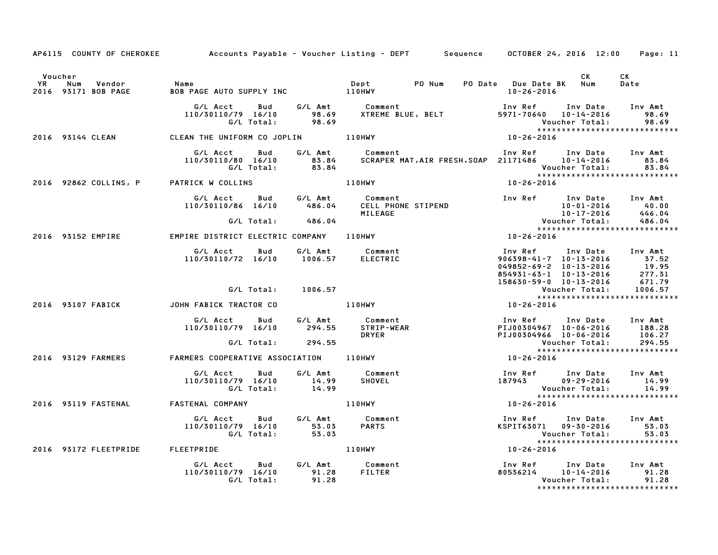|           |                                                 |                                                                           |                | AP6115 COUNTY OF CHEROKEE Accounts Payable - Voucher Listing - DEPT Sequence OCTOBER 24, 2016 12:00 |                                                                                                                  | Page: 11                  |
|-----------|-------------------------------------------------|---------------------------------------------------------------------------|----------------|-----------------------------------------------------------------------------------------------------|------------------------------------------------------------------------------------------------------------------|---------------------------|
| <b>YR</b> | Voucher<br>Num<br>Vendor<br>2016 93171 BOB PAGE | Name                                                                      |                | PO Num                                                                                              | CK<br>PO Date Due Date BK Num<br>10-26-2016                                                                      | CK<br>Date                |
|           |                                                 | G/L Acct<br>110/30110/79 16/10<br>G/L Total:                              |                |                                                                                                     | Inv Ref Inv Date Inv Amt                                                                                         | 98.69                     |
|           | 2016 93144 CLEAN                                | CLEAN THE UNIFORM CO JOPLIN 110HWY                                        |                |                                                                                                     | $10 - 26 - 2016$                                                                                                 |                           |
|           |                                                 | G/L Acct Bud<br>110/30110/80 16/10 83.84<br>G/L Total: 83.84              |                | G/L Amt Comment                                                                                     | Voucher Total:                                                                                                   | 83.84                     |
|           | 2016 92862 COLLINS, P                           | PATRICK W COLLINS                                                         |                | <b>110HWY</b>                                                                                       | 10-26-2016                                                                                                       |                           |
|           |                                                 | G/L Acct                                                                  |                | Bud G/L Amt Comment<br>110/30110/86 16/10 486.04 CELL PHONE STIPEND<br>MILEAGE                      | Inv Ref Inv Date Inv Amt                                                                                         |                           |
|           |                                                 | G/L Total: 486.04                                                         |                |                                                                                                     |                                                                                                                  |                           |
|           |                                                 | 2016 93152 EMPIRE <b>EMPIRE DISTRICT ELECTRIC COMPANY</b> 110HWY          |                |                                                                                                     | $10 - 26 - 2016$                                                                                                 |                           |
|           |                                                 | G/L Acct  Bud  G/L Amt  Comment<br>110/30110/72  16/10  1006.57  ELECTRIC |                |                                                                                                     | Inv Ref Inv Date Inv Amt<br>906398-41-7 10-13-2016<br>049852-69-2 10-13-2016 19.95<br>0323-321 10-13-2016 277.31 |                           |
|           |                                                 | G/L Total:                                                                | 1006.57        |                                                                                                     | 158630-59-0 10-13-2016<br>Voucher Total:                                                                         | 671.79<br>1006.57         |
|           | 2016 93107 FABICK                               | JOHN FABICK TRACTOR CO                                                    | <b>110HWY</b>  | $158630 - 59 - 0$ $158630 - 59 - 0$ Vouc<br>*****<br>10-26-2016                                     | *****************************                                                                                    |                           |
|           |                                                 | G/L Acct Bud<br>110/30110/79 16/10                                        | 294.55         | G/L Amt Comment<br>STRIP-WEAR<br><b>DRYER</b>                                                       | Inv Ref Inv Date Inv Amt<br>PIJ00304967 10-06-2016 188.28<br>PIJ00304966 10-06-2016                              | 106.27                    |
|           |                                                 | G/L Total: 294.55                                                         |                |                                                                                                     | Voucher Total:<br>*****************************                                                                  | 294.55                    |
|           | 2016 93129 FARMERS                              | FARMERS COOPERATIVE ASSOCIATION 110HWY                                    |                |                                                                                                     | $10 - 26 - 2016$                                                                                                 |                           |
|           |                                                 | G/L Acct Bud<br>110/30110/79 16/10<br>G/L Total:                          | 14.99<br>14.99 | G/L Amt Comment<br>SHOVEL                                                                           | Inv Ref Inv Date<br>187943<br>09-29-2016<br>Voucher Total:                                                       | Inv Amt<br>14.99<br>14.99 |
|           | 2016 93119 FASTENAL                             | <b>FASTENAL COMPANY</b>                                                   | 110HWY         |                                                                                                     | *****************************<br>$10 - 26 - 2016$                                                                |                           |
|           |                                                 | G/L Acct Bud<br>110/30110/79 16/10<br>G/L Total:                          | 53.03<br>53.03 | G/L Amt Comment<br>Comment<br>PARTS                                                                 | Inv Ref Inv Date Inv Amt<br>KSPIT63071 09-30-2016<br><b>Voucher Total:</b>                                       | 53.03<br>53.03            |
|           |                                                 | 2016 93172 FLEETPRIDE FLEETPRIDE                                          |                | 110HWY                                                                                              | 10-26-2016                                                                                                       |                           |
|           |                                                 | G/L Acct<br><b>Bud</b><br>110/30110/79 16/10<br>G/L Total:                | 91.28<br>91.28 | G/L Amt Comment<br>FILTER                                                                           | Inv Ref Inv Date Inv Amt<br>$80536214$ 10-14-2016<br>Voucher Total:<br>*****************************             | 91.28<br>91.28            |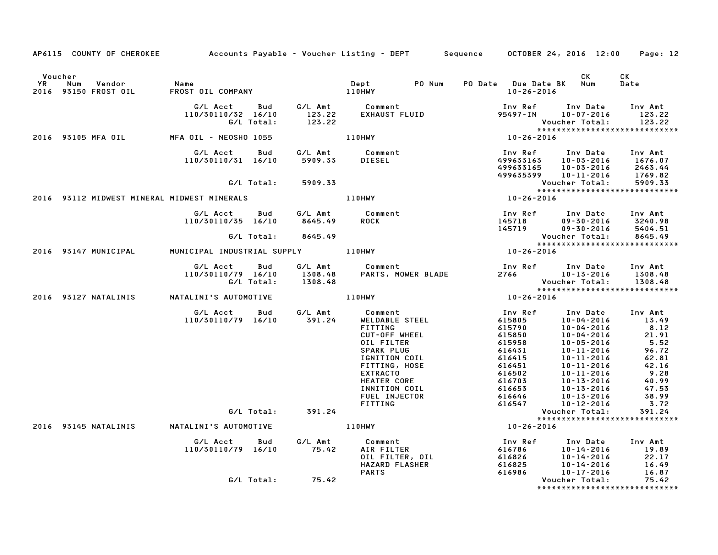|                      |                                                                       |                                  |                                                  | AP6115 COUNTY OF CHEROKEE Accounts Payable - Voucher Listing - DEPT Sequence OCTOBER 24, 2016 12:00                                                                                                                                        |                                                                                                                                                                                                                                                                          |                                                 | Page: 12                                                                                                                                 |
|----------------------|-----------------------------------------------------------------------|----------------------------------|--------------------------------------------------|--------------------------------------------------------------------------------------------------------------------------------------------------------------------------------------------------------------------------------------------|--------------------------------------------------------------------------------------------------------------------------------------------------------------------------------------------------------------------------------------------------------------------------|-------------------------------------------------|------------------------------------------------------------------------------------------------------------------------------------------|
| Voucher<br><b>YR</b> | Num<br>Vendor<br>2016 93150 FROST OIL                                 |                                  |                                                  | PO Num                                                                                                                                                                                                                                     | PO Date Due Date BK Num<br>$10 - 26 - 2016$                                                                                                                                                                                                                              | CK                                              | CK<br>Date                                                                                                                               |
|                      |                                                                       | 110/30110/32 16/10<br>G/L Total: | 123.22                                           | G/L Acct  Bud  G/L Amt  Comment<br>110/30110/32 16/10  123.22  EXHAUST_FLUID<br>C/L Total: 123.22                                                                                                                                          | 95497-IN 10-07-2016<br>Voucher Total: 123.22<br>****************************                                                                                                                                                                                             | Inv Ref Inv Date Inv Amt                        | 123.22                                                                                                                                   |
|                      | 2016 93105 MFA OIL MFA OIL - NEOSHO 1055                              |                                  |                                                  | <b>110HWY</b>                                                                                                                                                                                                                              | vou<br>*****<br>10-26-2016                                                                                                                                                                                                                                               |                                                 |                                                                                                                                          |
|                      |                                                                       |                                  |                                                  | 6/L Acct Bud G/L Amt Comment Inv Ref Inv Date Inv Amt<br>110/30110/31 16/10 5909.33 DIESEL 499633163 10-03-2016 1676.07<br>6/L Total: 5909.33 6<br>G/L Total: 5909.33 110HWY 110HWY 10-03-2016 93112 MIDWEST MINERAL MIDWEST MINERALS<br>2 |                                                                                                                                                                                                                                                                          |                                                 |                                                                                                                                          |
|                      |                                                                       |                                  |                                                  |                                                                                                                                                                                                                                            |                                                                                                                                                                                                                                                                          |                                                 |                                                                                                                                          |
|                      |                                                                       |                                  |                                                  |                                                                                                                                                                                                                                            |                                                                                                                                                                                                                                                                          | *****************************                   |                                                                                                                                          |
|                      |                                                                       | 110/30110/35 16/10               | 8645.49<br>G/L Total: 8645.49                    | G/L Acct Bud G/L Amt Comment<br>ROCK                                                                                                                                                                                                       | Inv Ref      Inv Date     Inv Amt<br>1nv Ref       Inv Date     Inv Amt<br>145718         09–30–2016      3240.98<br>145719         09–30–2016      5404.51                                                                                                              | Voucher Total:                                  | 8645.49                                                                                                                                  |
|                      |                                                                       |                                  |                                                  | 2016 93147 MUNICIPAL MUNICIPAL INDUSTRIAL SUPPLY 110HWY                                                                                                                                                                                    | $10 - 26 - 2016$                                                                                                                                                                                                                                                         | *****************************                   |                                                                                                                                          |
|                      |                                                                       |                                  |                                                  |                                                                                                                                                                                                                                            |                                                                                                                                                                                                                                                                          |                                                 |                                                                                                                                          |
|                      |                                                                       |                                  |                                                  | 6/L Acct Bud 6/L Amt Comment Inv Ref Inv Date Inv Amu<br>110/30110/79 16/10 1308.48 PARTS, MOWER BLADE 2766 10-13-2016 1308.48<br>6/L Total: 1308.48 PARTS, MOWER BLADE 2766 Voucher Total: 1308.48<br>308.48 *************************    |                                                                                                                                                                                                                                                                          |                                                 |                                                                                                                                          |
|                      |                                                                       |                                  |                                                  |                                                                                                                                                                                                                                            | $10 - 26 - 2016$                                                                                                                                                                                                                                                         |                                                 |                                                                                                                                          |
|                      |                                                                       | G/L Acct                         | Bud G/L Amt Comment<br>110/30110/79 16/10 391.24 | WELDABLE STEEL<br>FITTING<br>CUT-OFF WHEEL<br>OIL FILTER<br>SPARK PLUG<br>IGNITION COIL<br>FITTING, HOSE<br><b>EXTRACTO</b><br><b>HEATER CORE</b><br>INNITION COIL<br>FUEL INJECTOR<br>FITTING                                             | Inv Ref<br>615805                                                                                                                                                                                                                                                        | Inv Date Inv Amt<br>10-04-2016                  | 13.49<br>$\begin{array}{r} 8.12 \\ 21.91 \\ 5.52 \end{array}$<br>5.52<br>96<br>62.81<br>42.16<br>9.28<br>40.99<br>47.53<br>38.99<br>3.72 |
|                      |                                                                       |                                  | G/L Total: 391.24                                |                                                                                                                                                                                                                                            | Vouc<br>*****<br>10-26-2016                                                                                                                                                                                                                                              | Voucher Total:<br>***************************** | 391.24                                                                                                                                   |
|                      | 2016 93145 NATALINIS NATALINI'S AUTOMOTIVE THE RESERVENCE RESERVENCE. |                                  |                                                  |                                                                                                                                                                                                                                            |                                                                                                                                                                                                                                                                          |                                                 |                                                                                                                                          |
|                      |                                                                       | G/L Acct                         | <b>Bud</b><br>110/30110/79 16/10 75.42           | G/L Amt Comment<br>75.42 AIR FILTER                                                                                                                                                                                                        | AIR FILTER<br>OIL FILTER, OIL<br>HAZARD FLASHER<br>PARTS<br>CONFINER<br>CONFINER<br>CONFINER<br>CONFINER<br>CONFINER<br>CONFINER<br>CONFINER<br>CONFINER<br>CONFINER<br>CONFINER<br>CONFINER<br>CONFINER<br>CONFINER<br>CONFINER<br>CONFINER<br>CONFINER<br>CONFINER<br> |                                                 |                                                                                                                                          |
|                      |                                                                       |                                  | G/L Total: 75.42                                 |                                                                                                                                                                                                                                            |                                                                                                                                                                                                                                                                          | *****************************                   |                                                                                                                                          |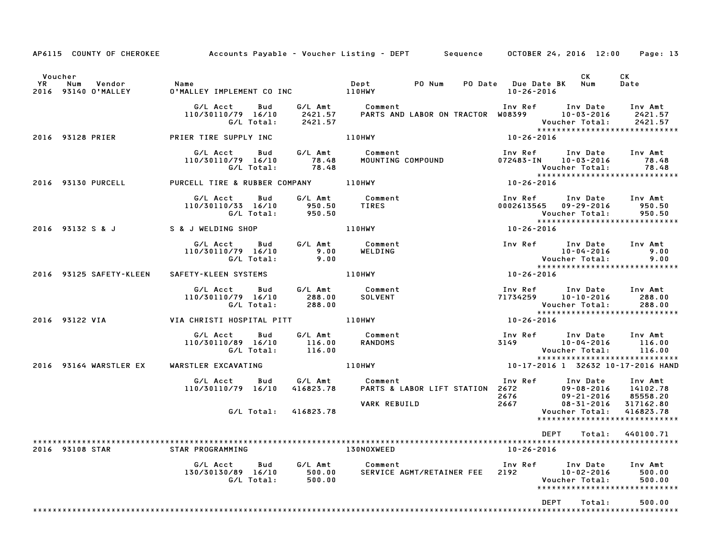| AP6115 COUNTY OF CHEROKEE Accounts Payable - Voucher Listing - DEPT Sequence OCTOBER 24, 2016 12:00 Page: 13 |                                                                                                                           |           |                                                                                                                                                                                                                                 |                  |                                                                                                                                                                                      |                                 |
|--------------------------------------------------------------------------------------------------------------|---------------------------------------------------------------------------------------------------------------------------|-----------|---------------------------------------------------------------------------------------------------------------------------------------------------------------------------------------------------------------------------------|------------------|--------------------------------------------------------------------------------------------------------------------------------------------------------------------------------------|---------------------------------|
| Voucher<br><b>YR</b><br>Num<br>Vendor<br>2016 93140 O'MALLEY                                                 | Name<br>1 O'MAI                                                                                                           |           |                                                                                                                                                                                                                                 | 10-26-2016       | CK<br>PO Date Due Date BK Num                                                                                                                                                        | CK<br>Date                      |
|                                                                                                              | G/L Total: 2421.57                                                                                                        |           | G/L Acct       Bud        G/L Amt           Comment                            Inv Ref       Inv Date      Inv Amt<br>110/30110/79   16/10       2421.57      PARTS AND LABOR ON TRACTOR  W08399        10-03-2016      2421.57 |                  | Voucher Total:<br>*****************************                                                                                                                                      | 2421.57<br>2421.57              |
| 2016 93128 PRIER                                                                                             | PRIER TIRE SUPPLY INC                                                                                                     |           | <b>110HWY</b>                                                                                                                                                                                                                   | $10 - 26 - 2016$ |                                                                                                                                                                                      |                                 |
|                                                                                                              | G/L Acct<br>Bud<br>110/30110/79 16/10<br>G/L Total:                                                                       |           | G/L Amt       Comment<br>78.48        MOUNTING COMPOUND<br>78.48                                                                                                                                                                |                  | Inv Ref      Inv Date     Inv Amt<br>$072483 - IN$ $10 - 03 - 2016$<br>Voucher Total:<br>*****************<br>10-26-2016<br>*****************************                            | 78.48<br>78.48                  |
| 2016 93130 PURCELL                                                                                           | PURCELL TIRE & RUBBER COMPANY 110HWY                                                                                      |           |                                                                                                                                                                                                                                 |                  |                                                                                                                                                                                      |                                 |
|                                                                                                              |                                                                                                                           |           |                                                                                                                                                                                                                                 |                  | Inv Ref Inv Date Inv Amt<br>0002613565  09-29-2016  950.50<br>Voucher Total:<br>*****************************                                                                        | 950.50                          |
| 2016 93132 S & J S & J WELDING SHOP                                                                          |                                                                                                                           |           | $rac{x}{10-26-2016}$<br><b>110HWY</b>                                                                                                                                                                                           |                  |                                                                                                                                                                                      |                                 |
|                                                                                                              | ct Bud G/LAmt Comment<br>10/79 16/10 9.00 WELDING<br>G/LTotal: 9.00<br>G/L Acct<br>110/30110/79 16/10                     |           |                                                                                                                                                                                                                                 |                  | Inv Ref      Inv Date<br>10-04-2016<br>10-04-2016<br>Voucher Total:                                                                                                                  | Inv Amt<br>9.00<br>9.00         |
| 2016 93125 SAFETY-KLEEN                                                                                      | SAFETY-KLEEN SYSTEMS 110HWY                                                                                               |           |                                                                                                                                                                                                                                 | 10-26-2016       | *****************************                                                                                                                                                        |                                 |
|                                                                                                              | G/L Acct Bud G/L Amt Comment<br>110/30110/79 16/10<br>110/79   16/10             288.00<br>G/L  Total:             288.00 |           |                                                                                                                                                                                                                                 |                  |                                                                                                                                                                                      | 288.00<br>288.00                |
|                                                                                                              |                                                                                                                           |           |                                                                                                                                                                                                                                 |                  |                                                                                                                                                                                      |                                 |
|                                                                                                              | G/L Acct Bud<br>110/30110/89 16/10<br>G/L Total: 116.00                                                                   | 116.00    | G/L Amt Comment<br>116.00 RANDOMS                                                                                                                                                                                               |                  | Inv Ref       Inv Date      Inv Amt<br>3149               10–04–2016          116.00<br>Voucher Total: 116.00<br>*****************************<br>10-17-2016 1 32632 10-17-2016 HAND | 116.00                          |
| 2016 93164 WARSTLER EX                                                                                       | WARSTLER EXCAVATING                                                                                                       |           | <b>110HWY</b>                                                                                                                                                                                                                   |                  |                                                                                                                                                                                      |                                 |
|                                                                                                              | G/L Acct  Bud  G/L Amt  Comment<br>110/30110/79  16/10  416823.78  PARTS & L                                              |           | 100 Comment 100 Towns PARTS & LABOR LIFT STATION<br>PARTS & LABOR LIFT STATION 2672 09-08-2016 14102.78<br>2676 09-21-2016 85558.20<br>2667 08-31-2016 317162.80<br>Voucher Total: 416823.78                                    |                  |                                                                                                                                                                                      |                                 |
|                                                                                                              | G/L Total:                                                                                                                | 416823.78 | VARK REBUILD                                                                                                                                                                                                                    |                  | ******************************                                                                                                                                                       |                                 |
|                                                                                                              |                                                                                                                           |           |                                                                                                                                                                                                                                 |                  | DEPT<br>Total:                                                                                                                                                                       | 440100.71                       |
| 2016 93108 STAR                                                                                              | STAR PROGRAMMING                                                                                                          |           | <b>130NOXWEED</b>                                                                                                                                                                                                               | 10-26-2016       |                                                                                                                                                                                      |                                 |
|                                                                                                              |                                                                                                                           |           | G/L Acct Bud G/L Amt Comment Inv Ref Inv Date Inv Amt<br>130/30130/89 16/10 500.00 SERVICE AGMT/RETAINER FEE 2192 10–02–2016 500.00<br>G/L Total: 500.00 500.00 Voucher Total: 500.00                                           |                  | *****************************                                                                                                                                                        | 500.00<br>500.00                |
|                                                                                                              |                                                                                                                           |           |                                                                                                                                                                                                                                 |                  | <b>DEPT</b><br>Total:                                                                                                                                                                | 500.00<br>********************* |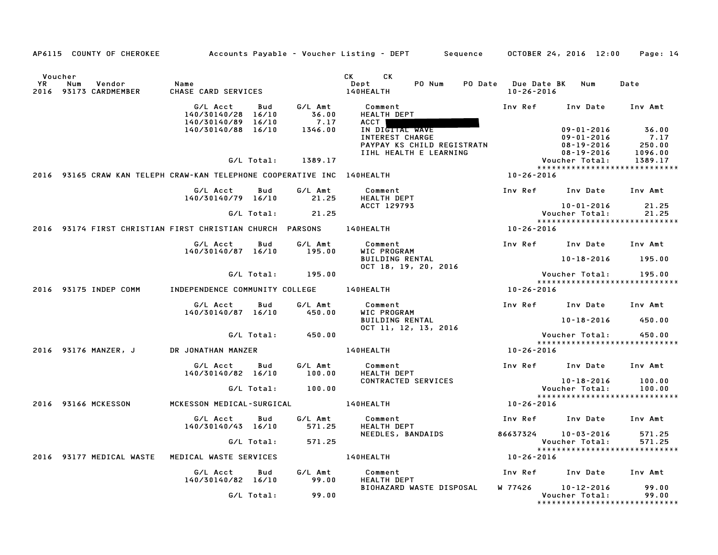|             |                | AP6115 COUNTY OF CHEROKEE  |                                                                            |            |                                     | Accounts Payable – Voucher Listing – DEPT<br>Sequence                                                       |                                         | OCTOBER 24, 2016 12:00                                                | Page: 14                           |
|-------------|----------------|----------------------------|----------------------------------------------------------------------------|------------|-------------------------------------|-------------------------------------------------------------------------------------------------------------|-----------------------------------------|-----------------------------------------------------------------------|------------------------------------|
| YR.<br>2016 | Voucher<br>Num | Vendor<br>93173 CARDMEMBER | Name<br>CHASE CARD SERVICES                                                |            |                                     | <b>CK</b><br>CK.<br>Dept<br>PO Num<br>140HEALTH                                                             | PO Date Due Date BK<br>$10 - 26 - 2016$ | Num                                                                   | Date                               |
|             |                |                            | G/L Acct<br>140/30140/28 16/10<br>140/30140/89 16/10<br>140/30140/88 16/10 | Bud        | G/L Amt<br>36.00<br>7.17<br>1346.00 | Comment<br><b>HEALTH DEPT</b><br>ACCT  <br>IN DIGITAL WAVE<br>INTEREST CHARGE<br>PAYPAY KS CHILD REGISTRATN | Inv Ref                                 | Inv Date<br>$09 - 01 - 2016$<br>$09 - 01 - 2016$<br>$08 - 19 - 2016$  | Inv Amt<br>36.00<br>7.17<br>250.00 |
|             |                |                            |                                                                            | G/L Total: | 1389.17                             | IIHL HEALTH E LEARNING                                                                                      |                                         | $08 - 19 - 2016$<br>Voucher Total:<br>*****************************   | 1096.00<br>1389.17                 |
|             |                |                            | 2016 93165 CRAW KAN TELEPH CRAW-KAN TELEPHONE COOPERATIVE INC 140HEALTH    |            |                                     |                                                                                                             | 10-26-2016                              |                                                                       |                                    |
|             |                |                            | G/L Acct<br>140/30140/79 16/10                                             | Bud        | G/L Amt<br>21.25                    | Comment<br><b>HEALTH DEPT</b>                                                                               | Inv Ref                                 | Inv Date                                                              | Inv Amt                            |
|             |                |                            |                                                                            | G/L Total: | 21.25                               | ACCT 129793                                                                                                 |                                         | $10 - 01 - 2016$<br>Voucher Total:<br>*****************************   | 21.25<br>21.25                     |
|             |                |                            | 2016 93174 FIRST CHRISTIAN FIRST CHRISTIAN CHURCH PARSONS                  |            |                                     | 140HEALTH                                                                                                   | 10-26-2016                              |                                                                       |                                    |
|             |                |                            | G/L Acct<br>140/30140/87 16/10                                             | Bud        | G/L Amt<br>195.00                   | Comment<br>WIC PROGRAM                                                                                      | Inv Ref                                 | Inv Date                                                              | Inv Amt                            |
|             |                |                            |                                                                            |            |                                     | <b>BUILDING RENTAL</b><br>$0CT$ 18, 19, 20, 2016                                                            |                                         | $10 - 18 - 2016$                                                      | 195.00                             |
|             |                |                            |                                                                            | G/L Total: | 195.00                              |                                                                                                             |                                         | Voucher Total:<br>*****************************                       | 195.00                             |
|             |                | 2016 93175 INDEP COMM      | INDEPENDENCE COMMUNITY COLLEGE                                             |            |                                     | 140HEALTH                                                                                                   | 10-26-2016                              |                                                                       |                                    |
|             |                |                            | G/L Acct<br>140/30140/87 16/10                                             | Bud        | G/L Amt<br>450.00                   | Comment<br>WIC PROGRAM<br><b>BUILDING RENTAL</b>                                                            | Inv Ref                                 | Inv Date<br>$10 - 18 - 2016$                                          | Inv Amt<br>450.00                  |
|             |                |                            |                                                                            | G/L Total: | 450.00                              | OCT 11, 12, 13, 2016                                                                                        |                                         | Voucher Total:                                                        | 450.00                             |
|             |                |                            |                                                                            |            |                                     |                                                                                                             |                                         | *****************************                                         |                                    |
|             |                | 2016 93176 MANZER, J       | DR JONATHAN MANZER                                                         |            |                                     | 140HEALTH                                                                                                   | 10-26-2016                              |                                                                       |                                    |
|             |                |                            | G/L Acct<br>140/30140/82 16/10                                             | Bud        | G/L Amt<br>100.00                   | Comment<br><b>HEALTH DEPT</b>                                                                               | Inv Ref                                 | Inv Date                                                              | Inv Amt                            |
|             |                |                            |                                                                            | G/L Total: | 100.00                              | CONTRACTED SERVICES                                                                                         |                                         | $10 - 18 - 2016$<br>Voucher Total:                                    | 100.00<br>100.00                   |
|             |                | 2016 93166 MCKESSON        | MCKESSON MEDICAL-SURGICAL                                                  |            |                                     | 140HEALTH                                                                                                   | 10-26-2016                              | *****************************                                         |                                    |
|             |                |                            | G/L Acct<br>140/30140/43 16/10                                             | Bud        | G/L Amt<br>571.25                   | Comment<br><b>HEALTH DEPT</b>                                                                               | Inv Ref                                 | Inv Date                                                              | Inv Amt                            |
|             |                |                            |                                                                            | G/L Total: | 571.25                              | NEEDLES, BANDAIDS                                                                                           | 86637324                                | $10 - 03 - 2016$<br>Voucher Total:                                    | 571.25<br>571.25                   |
|             |                | 2016 93177 MEDICAL WASTE   | MEDICAL WASTE SERVICES                                                     |            |                                     | 140HEALTH                                                                                                   | 10-26-2016                              | *****************************                                         |                                    |
|             |                |                            | G/L Acct<br>140/30140/82 16/10                                             | Bud        | G/L Amt<br>99.00                    | Comment<br><b>HEALTH DEPT</b>                                                                               | Inv Ref                                 | Inv Date                                                              | Inv Amt                            |
|             |                |                            |                                                                            | G/L Total: | 99.00                               | BIOHAZARD WASTE DISPOSAL                                                                                    | W 77426                                 | $10 - 12 - 2016$<br>Voucher Total:<br>******************************* | 99.00<br>99.00                     |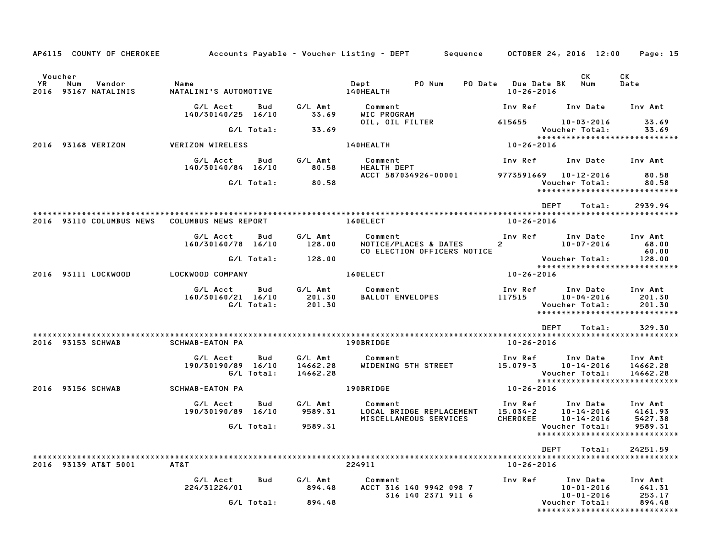| AP6115 COUNTY OF CHEROKEE             |                                |                   |                             | Accounts Payable – Voucher Listing – DEPT       Sequence     OCTOBER 24, 2016 12:00 |                         |                                                 | Page: 15                    |
|---------------------------------------|--------------------------------|-------------------|-----------------------------|-------------------------------------------------------------------------------------|-------------------------|-------------------------------------------------|-----------------------------|
| Voucher<br><b>YR</b><br>Num<br>Vendor | Name                           |                   |                             | Dept PO Num                                                                         | PO Date Due Date BK     | CK.<br>Num                                      | CK<br>Date                  |
| 2016 93167 NATALINIS                  | NATALINI'S AUTOMOTIVE          |                   |                             | <b>140HEALTH</b>                                                                    | $10 - 26 - 2016$        |                                                 |                             |
|                                       | G/L Acct<br>140/30140/25 16/10 | Bud               | G/L Amt<br>33.69            | Comment<br>WIC PROGRAM                                                              | Inv Ref                 | Inv Date                                        | Inv Amt                     |
|                                       |                                | G/L Total:        | 33.69                       | OIL, OIL FILTER                                                                     | 615655                  | $10 - 03 - 2016$<br>Voucher Total:              | 33.69<br>33.69              |
| 2016 93168 VERIZON                    | VERIZON WIRELESS               |                   |                             | 140HEALTH                                                                           | 10-26-2016              | ******************************                  |                             |
|                                       | G/L Acct                       | Bud               | G/L Amt                     | Comment                                                                             | Inv Ref                 | Inv Date Inv Amt                                |                             |
|                                       | 140/30140/84 16/10             | G/L Total:        | 80.58<br>80.58              | <b>HEALTH DEPT</b><br>ACCT 587034926-00001                                          |                         | 9773591669 10-12-2016<br>Voucher Total:         | 80.58<br>80.58              |
|                                       |                                |                   |                             |                                                                                     |                         | *****************************                   |                             |
|                                       |                                |                   |                             |                                                                                     |                         | DEPT<br>Total:                                  | 2939.94                     |
| 2016 93110 COLUMBUS NEWS              | COLUMBUS NEWS REPORT           |                   |                             | 160ELECT                                                                            | 10-26-2016              |                                                 |                             |
|                                       | G/L Acct<br>160/30160/78 16/10 | Bud               | G/L Amt<br>128.00           | Comment<br>NOTICE/PLACES & DATES<br>CO ELECTION OFFICERS NOTICE                     | $2^{\circ}$             | Inv Ref      Inv Date<br>10-07-2016             | Inv Amt<br>68.00<br>60.00   |
|                                       |                                | G/L Total:        | 128.00                      |                                                                                     |                         | Voucher Total:                                  | 128.00                      |
|                                       |                                |                   |                             |                                                                                     |                         | *****************************                   |                             |
| 2016 93111 LOCKWOOD                   | LOCKWOOD COMPANY               |                   |                             | 160ELECT                                                                            | 10-26-2016              |                                                 |                             |
|                                       | G/L Acct<br>160/30160/21 16/10 | Bud<br>G/L Total: | G/L Amt<br>201.30<br>201.30 | Comment<br><b>BALLOT ENVELOPES</b>                                                  | Inv Ref<br>117515       | Inv Date<br>10-04-2016<br>Voucher Total:        | Inv Amt<br>201.30<br>201.30 |
|                                       |                                |                   |                             |                                                                                     |                         | *****************************                   |                             |
|                                       |                                |                   |                             |                                                                                     |                         |                                                 |                             |
| 2016 93153 SCHWAB                     | SCHWAB-EATON PA                |                   |                             | 190BRIDGE                                                                           | 10-26-2016              | <b>DEPT</b><br>Total:                           | 329.30                      |
|                                       | G/L Acct                       | Bud               | G/L Amt                     | Comment                                                                             | Inv Ref                 | Inv Date                                        | Inv Amt                     |
|                                       | 190/30190/89 16/10             | G/L Total:        | 14662.28<br>14662.28        | WIDENING 5TH STREET                                                                 | 15.079-3                | 10-14-2016<br>Voucher Total:                    | 14662.28<br>14662.28        |
| 2016 93156 SCHWAB                     | <b>SCHWAB-EATON PA</b>         |                   |                             |                                                                                     | 10-26-2016              | *****************************                   |                             |
|                                       |                                |                   |                             | 190BRIDGE                                                                           |                         |                                                 |                             |
|                                       | G/L Acct<br>190/30190/89 16/10 | Bud               | G/L Amt<br>9589.31          | Comment<br>LOCAL BRIDGE REPLACEMENT                                                 | Inv Ref<br>$15.034 - 2$ | Inv Date<br>10-14-2016                          | Inv Amt<br>4161.93          |
|                                       |                                |                   |                             | MISCELLANEOUS SERVICES                                                              | <b>CHEROKEE</b>         | 10-14-2016                                      | 5427.38                     |
|                                       |                                | G/L Total:        | 9589.31                     |                                                                                     |                         | Voucher Total:<br>***************************** | 9589.31                     |
|                                       |                                |                   |                             |                                                                                     |                         |                                                 |                             |
|                                       |                                |                   |                             |                                                                                     |                         | DEPT<br>Total:                                  | 24251.59                    |
| 2016 93139 AT&T 5001                  | AT&T                           |                   |                             | 224911                                                                              | $10 - 26 - 2016$        |                                                 |                             |
|                                       | G/L Acct                       | Bud               | G/L Amt                     | Comment                                                                             | Inv Ref                 | Inv Date                                        | Inv Amt                     |
|                                       | 224/31224/01                   |                   | 894.48                      | ACCT 316 140 9942 098 7<br>316 140 2371 911 6                                       |                         | $10 - 01 - 2016$<br>$10 - 01 - 2016$            | 641.31<br>253.17            |
|                                       |                                | G/L Total:        | 894.48                      |                                                                                     |                         | Voucher Total:<br>***************************** | 894.48                      |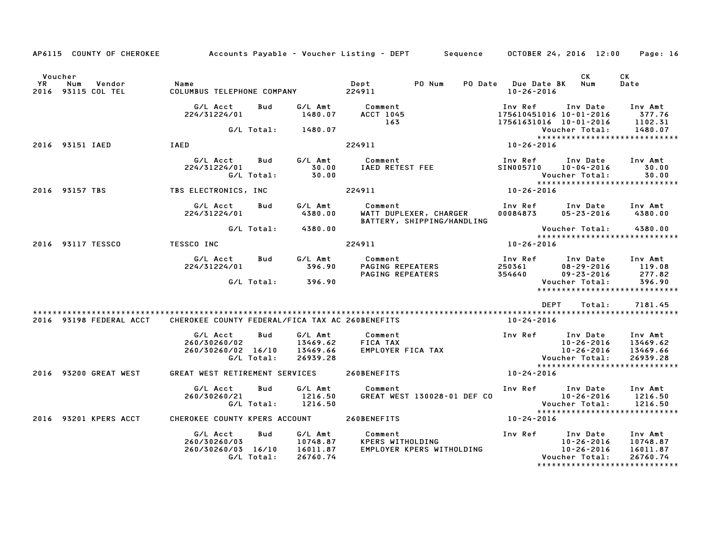|               | AP6115 COUNTY OF CHEROKEE           | Accounts Payable – Voucher Listing – DEPT         Sequence       OCTOBER 24, 2016  12:00 |                          |                                             |                             |                                                      |                                         |                                                                                         | Page: 16                                    |
|---------------|-------------------------------------|------------------------------------------------------------------------------------------|--------------------------|---------------------------------------------|-----------------------------|------------------------------------------------------|-----------------------------------------|-----------------------------------------------------------------------------------------|---------------------------------------------|
|               |                                     |                                                                                          |                          |                                             |                             |                                                      |                                         |                                                                                         |                                             |
| Voucher<br>YR | Num<br>Vendor<br>2016 93115 COL TEL | Name                                                                                     |                          |                                             | Dept                        | PO Num                                               | PO Date Due Date BK<br>$10 - 26 - 2016$ | CK<br>Num                                                                               | CK<br>Date                                  |
|               |                                     | G/L Acct<br>224/31224/01                                                                 | Bud                      | G/L Amt<br>1480.07                          | Comment<br>ACCT 1045<br>163 |                                                      | Inv Ref                                 | Inv Date<br>175610451016 10-01-2016<br>17561631016 10-01-2016                           | Inv Amt<br>377.76<br>1102.31                |
|               |                                     |                                                                                          | G/L Total:               | 1480.07                                     |                             |                                                      |                                         | Voucher Total:<br>*****************************                                         | 1480.07                                     |
|               | 2016 93151 IAED                     | IAED                                                                                     |                          |                                             | 224911                      |                                                      | 10-26-2016                              |                                                                                         |                                             |
|               |                                     | G/L Acct<br>224/31224/01                                                                 | Bud<br>G/L Total:        | G/L Amt<br>30.00<br>30.00                   | Comment                     | IAED RETEST FEE                                      | Inv Ref<br><b>SIN005710</b>             | Inv Date<br>10-04-2016<br>Voucher Total:<br>*****************************               | Inv Amt<br>30.00<br>30.00                   |
|               | 2016 93157 TBS                      | TBS ELECTRONICS, INC                                                                     |                          |                                             | 224911                      |                                                      | $10 - 26 - 2016$                        |                                                                                         |                                             |
|               |                                     | G/L Acct<br>224/31224/01                                                                 | Bud                      | G/L Amt<br>4380.00                          | Comment                     | WATT DUPLEXER, CHARGER<br>BATTERY, SHIPPING/HANDLING | 00084873                                | Inv Ref      Inv Date<br>05-23-2016                                                     | Inv Amt<br>4380.00                          |
|               |                                     |                                                                                          | G/L Total:               | 4380.00                                     |                             |                                                      |                                         | Voucher Total:                                                                          | 4380.00                                     |
|               | 2016 93117 TESSCO                   | <b>TESSCO INC</b>                                                                        |                          |                                             | 224911                      |                                                      | 10-26-2016                              |                                                                                         |                                             |
|               |                                     | G/L Acct<br>224/31224/01                                                                 | Bud                      | G/L Amt<br>396.90                           | Comment<br>PAGING REPEATERS | PAGING REPEATERS                                     | 250361<br>354640                        | Inv Ref      Inv Date<br>08-29-2016<br>$09 - 23 - 2016$                                 | Inv Amt<br>119.08<br>277.82                 |
|               |                                     |                                                                                          | G/L Total:               | 396.90                                      |                             |                                                      |                                         | Voucher Total:<br>*****************************                                         | 396.90                                      |
|               |                                     |                                                                                          |                          |                                             |                             |                                                      |                                         |                                                                                         |                                             |
|               |                                     |                                                                                          |                          |                                             |                             |                                                      |                                         | <b>DEPT</b><br>Total:                                                                   | 7181.45                                     |
|               | 2016 93198 FEDERAL ACCT             | CHEROKEE COUNTY FEDERAL/FICA TAX AC 260BENEFITS                                          |                          |                                             |                             |                                                      | 10-24-2016                              |                                                                                         |                                             |
|               |                                     | G/L Acct<br>260/30260/02<br>260/30260/02 16/10                                           | Bud<br>G/L Total:        | G/L Amt<br>13469.62<br>13469.66<br>26939.28 | Comment<br>FICA TAX         | EMPLOYER FICA TAX                                    |                                         | Inv Ref Inv Date<br>10-26-2016<br>$10 - 26 - 2016$<br>Voucher Total:                    | Inv Amt<br>13469.62<br>13469.66<br>26939.28 |
|               | 2016 93200 GREAT WEST               | GREAT WEST RETIREMENT SERVICES                                                           |                          |                                             | 260BENEFITS                 |                                                      | $10 - 24 - 2016$                        | *****************************                                                           |                                             |
|               |                                     | G/L Acct<br>260/30260/21                                                                 | Bud<br>G/L Total:        | G/L Amt<br>1216.50<br>1216.50               | Comment                     | GREAT WEST 130028-01 DEF CO                          |                                         | Inv Ref Inv Date<br>10-26-2016<br>Voucher Total:<br>*****************************       | Inv Amt<br>1216.50<br>1216.50               |
|               | 2016 93201 KPERS ACCT               | CHEROKEE COUNTY KPERS ACCOUNT                                                            |                          |                                             | 260BENEFITS                 |                                                      | 10-24-2016                              |                                                                                         |                                             |
|               |                                     | G/L Acct<br>260/30260/03<br>260/30260/03 16/10                                           | <b>Bud</b><br>G/L Total: | G/L Amt<br>10748.87<br>16011.87<br>26760.74 | Comment<br>KPERS WITHOLDING | EMPLOYER KPERS WITHOLDING                            | Inv Ref                                 | Inv Date<br>10-26-2016<br>10-26-2016<br>Voucher Total:<br>***************************** | Inv Amt<br>10748.87<br>16011.87<br>26760.74 |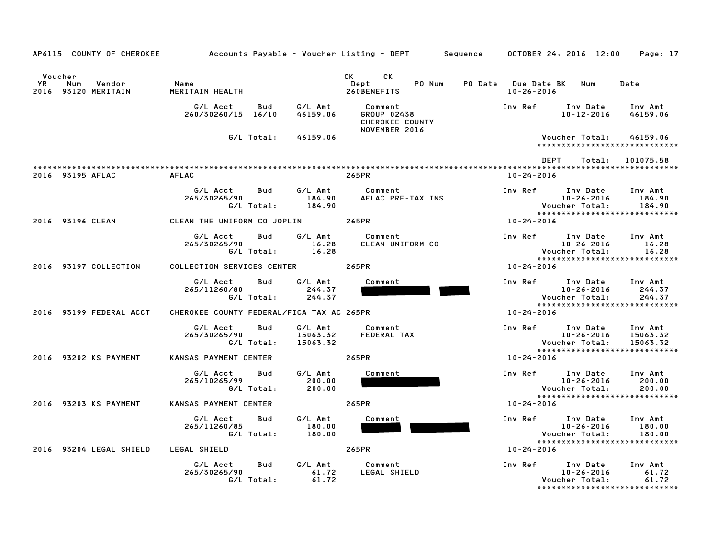|               | AP6115 COUNTY OF CHEROKEE            |                                           |                   |                                 | Accounts Payable – Voucher Listing – DEPT         Sequence       OCTOBER 24, 2016  12:00                                                                                                                                                                                     |         |                                                                                            | Page: 17                        |
|---------------|--------------------------------------|-------------------------------------------|-------------------|---------------------------------|------------------------------------------------------------------------------------------------------------------------------------------------------------------------------------------------------------------------------------------------------------------------------|---------|--------------------------------------------------------------------------------------------|---------------------------------|
| Voucher<br>YR | Num<br>Vendor<br>2016 93120 MERITAIN | Name<br>MERITAIN HEALTH                   |                   |                                 | CK and the set of the set of the set of the set of the set of the set of the set of the set of the set of the set of the set of the set of the set of the set of the set of the set of the set of the set of the set of the se<br><b>CK</b><br>PO Num<br>Dept<br>260BENEFITS |         | PO Date Due Date BK Num<br>$10 - 26 - 2016$                                                | Date                            |
|               |                                      | G/L Acct<br>260/30260/15 16/10            | Bud               | G/L Amt<br>46159.06             | Comment<br><b>GROUP 02438</b><br>CHEROKEE COUNTY<br>NOVEMBER 2016                                                                                                                                                                                                            | Inv Ref | Inv Date<br>$10 - 12 - 2016$                                                               | Inv Amt<br>46159.06             |
|               |                                      |                                           | G/L Total:        | 46159.06                        |                                                                                                                                                                                                                                                                              |         | Voucher Total:<br>*****************************                                            | 46159.06                        |
|               |                                      |                                           |                   |                                 |                                                                                                                                                                                                                                                                              |         | DEPT<br>Total:                                                                             | 101075.58                       |
|               | 2016 93195 AFLAC                     | <b>AFLAC</b>                              |                   |                                 | 265PR                                                                                                                                                                                                                                                                        |         | $10 - 24 - 2016$                                                                           |                                 |
|               |                                      | G/L Acct<br>265/30265/90                  | Bud<br>G/L Total: | G/L Amt<br>184.90<br>184.90     | Comment<br>AFLAC PRE-TAX INS                                                                                                                                                                                                                                                 | Inv Ref | Inv Date<br>10-26-2016<br>Voucher Total:                                                   | Inv Amt<br>184.90<br>184.90     |
|               | 2016 93196 CLEAN                     | CLEAN THE UNIFORM CO JOPLIN               |                   |                                 | 265PR                                                                                                                                                                                                                                                                        |         | *****************************<br>10-24-2016                                                |                                 |
|               |                                      | G/L Acct<br>265/30265/90                  | Bud<br>G/L Total: | G/L Amt<br>16.28<br>16.28       | Comment<br>CLEAN UNIFORM CO                                                                                                                                                                                                                                                  |         | Inv Ref<br>Inv Date<br>$10 - 26 - 2016$<br>Voucher Total:<br>***************************** | Inv Amt<br>16.28<br>16.28       |
|               | 2016 93197 COLLECTION                | COLLECTION SERVICES CENTER                |                   |                                 | 265PR                                                                                                                                                                                                                                                                        |         | 10-24-2016                                                                                 |                                 |
|               |                                      | G/L Acct<br>265/11260/80                  | Bud<br>G/L Total: | G/L Amt<br>244.37<br>244.37     | Comment                                                                                                                                                                                                                                                                      |         | Inv Ref<br>Inv Date<br>10-26-2016<br>Voucher Total:<br>*****************************       | Inv Amt<br>244.37<br>244.37     |
|               | 2016 93199 FEDERAL ACCT              | CHEROKEE COUNTY FEDERAL/FICA TAX AC 265PR |                   |                                 |                                                                                                                                                                                                                                                                              |         | 10-24-2016                                                                                 |                                 |
|               |                                      | G/L Acct<br>265/30265/90                  | Bud<br>G/L Total: | G/L Amt<br>15063.32<br>15063.32 | Comment<br>FEDERAL TAX                                                                                                                                                                                                                                                       |         | Inv Ref<br>Inv Date<br>$10 - 26 - 2016$<br>Voucher Total:                                  | Inv Amt<br>15063.32<br>15063.32 |
|               | 2016 93202 KS PAYMENT                | KANSAS PAYMENT CENTER                     |                   |                                 | 265PR                                                                                                                                                                                                                                                                        |         | *****************************<br>10-24-2016                                                |                                 |
|               |                                      | G/L Acct<br>265/10265/99                  | Bud<br>G/L Total: | G/L Amt<br>200.00<br>200.00     | Comment                                                                                                                                                                                                                                                                      |         | Inv Ref Inv Date<br>$10 - 26 - 2016$<br>Voucher Total:<br>*****************************    | Inv Amt<br>200.00<br>200.00     |
|               | 2016 93203 KS PAYMENT                | KANSAS PAYMENT CENTER                     |                   |                                 | 265PR                                                                                                                                                                                                                                                                        |         | 10-24-2016                                                                                 |                                 |
|               |                                      | G/L Acct<br>265/11260/85                  | Bud<br>G/L Total: | G/L Amt<br>180.00<br>180.00     | Comment                                                                                                                                                                                                                                                                      |         | Inv Ref<br>Inv Date<br>$10 - 26 - 2016$<br>Voucher Total:                                  | Inv Amt<br>180.00<br>180.00     |
|               | 2016 93204 LEGAL SHIELD              | LEGAL SHIELD                              |                   |                                 | 265PR                                                                                                                                                                                                                                                                        |         | *****************************<br>10-24-2016                                                |                                 |
|               |                                      | G/L Acct<br>265/30265/90                  | Bud<br>G/L Total: | G/L Amt<br>61.72<br>61.72       | Comment<br>LEGAL SHIELD                                                                                                                                                                                                                                                      | Inv Ref | Inv Date<br>10-26-2016<br>Voucher Total:<br>*****************************                  | Inv Amt<br>61.72<br>61.72       |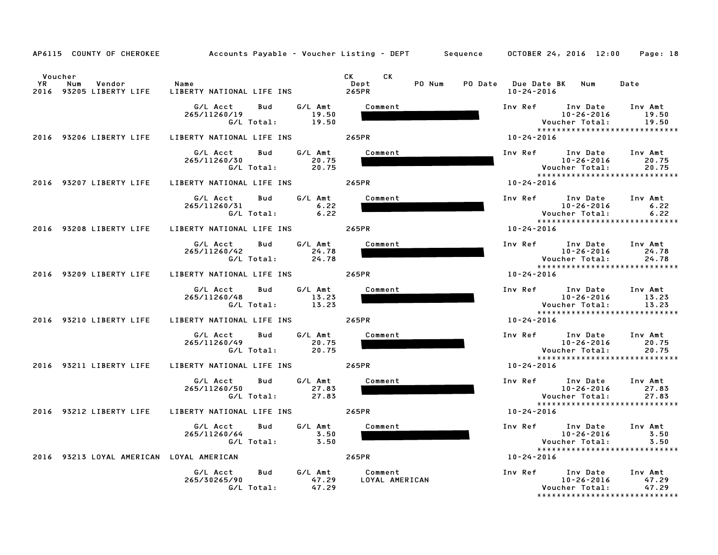|                      |                                          | AP6115 COUNTY OF CHEROKEE Accounts Payable - Voucher Listing - DEPT Sequence OCTOBER 24, 2016 12:00 |                           |                               |                                                                                                                             |                              | Page: 18                                        |
|----------------------|------------------------------------------|-----------------------------------------------------------------------------------------------------|---------------------------|-------------------------------|-----------------------------------------------------------------------------------------------------------------------------|------------------------------|-------------------------------------------------|
| Voucher<br><b>YR</b> | Num<br>Vendor<br>2016 93205 LIBERTY LIFE | Name<br>LIBERTY NATIONAL LIFE INS 265PR                                                             |                           | CK C<br>CK.<br>Dept<br>PO Num | PO Date Due Date BK Num<br>10-24-2016                                                                                       |                              | Date                                            |
|                      | 2016 93206 LIBERTY LIFE                  | G/L Acct<br>Bud<br>265/11260/19<br>G/L Total: 19.50<br>LIBERTY NATIONAL LIFE INS                    | G/L Amt<br>19.50          | Comment<br>265PR              | Inv Ref Inv Date Inv Amt<br>10-26-2016 19.50<br>10-24-2016                                                                  | 10-26-2016<br>Voucher Total: | 19.50<br>19.50<br>***************************** |
|                      | 2016 93207 LIBERTY LIFE                  | Bud<br>G/L Acct<br>265/11260/30<br>G/L Total:<br>LIBERTY NATIONAL LIFE INS 265PR                    | G/L Amt<br>20.75<br>20.75 | Comment                       | Inv Ref Inv Date Inv Amt<br>10-26-2016 20.75<br>10-24-2016                                                                  | <b>Voucher Total:</b>        | 20.75<br>20.75                                  |
|                      |                                          | G/L Acct Bud<br>265/11260/31<br>G/L Total:                                                          | G/L Amt<br>6.22<br>6.22   | Comment                       |                                                                                                                             |                              | *****************************                   |
|                      | 2016 93208 LIBERTY LIFE                  | LIBERTY NATIONAL LIFE INS 265PR<br>G/L Acct<br>Bud<br>265/11260/42<br>G/L Total:                    | G⁄L Amt<br>24.78<br>24.78 | Comment                       | 10-24-2016<br>Inv Ref Inv Date Inv Amt                                                                                      | 10-26-2016<br>Voucher Total: | 24.78<br>24.78<br>***************************** |
|                      | 2016 93209 LIBERTY LIFE                  | LIBERTY NATIONAL LIFE INS 265PR<br>G/L Acct<br>Bud<br>265/11260/48<br>G/L Total:                    | G/L Amt<br>13.23<br>13.23 | Comment                       | 10-24-2016<br>Inv Ref $\begin{array}{ccc} \text{Inv Date} & \text{Inv Ant} \\ \text{10-36-2016} & \text{17-33} \end{array}$ | 10-26-2016<br>Voucher Total: | 13.23<br>13.23<br>***************************** |
|                      | 2016 93210 LIBERTY LIFE                  | LIBERTY NATIONAL LIFE INS<br>G/L Acct<br>Bud<br>265/11260/49<br>G/L Total:                          | G/L Amt<br>20.75<br>20.75 | 265PR<br>Comment              | 10-24-2016<br>Inv Ref Inv Date Inv Amt<br>10-26-2016 20.75                                                                  | 10-26-2016<br>Voucher Total: | 20.75<br>20.75<br>***************************** |
|                      | 2016 93211 LIBERTY LIFE                  | LIBERTY NATIONAL LIFE INS<br>G/L Acct<br>Bud<br>265/11260/50<br>G/L Total:                          | G/L Amt<br>27.83<br>27.83 | 265PR<br>Comment              | 10-24-2016<br>Inv Ref Inv Date<br>10-26-2016                                                                                | Voucher Total:               | Inv Amt<br>27.83<br>27.83                       |
|                      | 2016 93212 LIBERTY LIFE                  | LIBERTY NATIONAL LIFE INS                                                                           |                           | 265PR                         | 10-24-2016                                                                                                                  |                              | *****************************                   |
|                      |                                          | G/L Acct<br>Bud<br>265/11260/64<br>G/L Total:                                                       | G/L Amt<br>3.50<br>3.50   | Comment                       |                                                                                                                             |                              | 3.50<br>3.50<br>******************************  |
|                      | 2016 93213 LOYAL AMERICAN LOYAL AMERICAN |                                                                                                     |                           | 265PR                         | 10-24-2016                                                                                                                  |                              |                                                 |
|                      |                                          | G/L Acct<br><b>Bud</b><br>265/30265/90<br>G/L Total:                                                | G/L Amt<br>47.29<br>47.29 | Comment<br>LOYAL AMERICAN     | Inv Ref Inv Date Inv Amt                                                                                                    | 10-26-2016<br>Voucher Total: | 47.29<br>47.29<br>***************************** |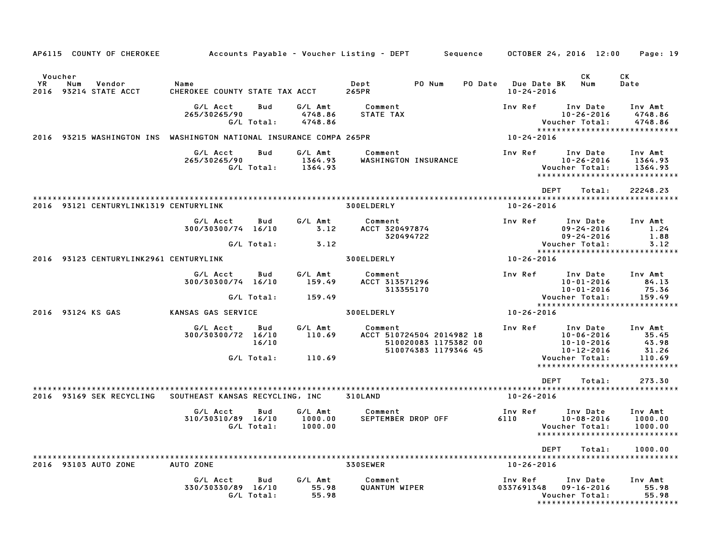| AP6115 COUNTY OF CHEROKEE                                           |                                        |                          |                               | Accounts Payable – Voucher Listing – DEPT<br>Sequence                                |                             | OCTOBER 24, 2016 12:00                                                           | Page: 19                           |
|---------------------------------------------------------------------|----------------------------------------|--------------------------|-------------------------------|--------------------------------------------------------------------------------------|-----------------------------|----------------------------------------------------------------------------------|------------------------------------|
| Voucher<br>YR.<br>Num<br>Vendor<br>2016<br>93214 STATE ACCT         | Name<br>CHEROKEE COUNTY STATE TAX ACCT |                          |                               | PO Num<br>Dept<br>265PR                                                              | PO Date<br>$10 - 24 - 2016$ | CK.<br>Num<br><b>Due Date BK</b>                                                 | СK<br>Date                         |
|                                                                     | G/L Acct<br>265/30265/90               | <b>Bud</b><br>G/L Total: | G/L Amt<br>4748.86<br>4748.86 | Comment<br>STATE TAX                                                                 | Inv Ref                     | Inv Date<br>$10 - 26 - 2016$<br>Voucher Total:<br>****************************** | Inv Amt<br>4748.86<br>4748.86      |
| 2016 93215 WASHINGTON INS WASHINGTON NATIONAL INSURANCE COMPA 265PR |                                        |                          |                               |                                                                                      | 10-24-2016                  |                                                                                  |                                    |
|                                                                     | G/L Acct<br>265/30265/90               | Bud<br>G/L Total:        | G/L Amt<br>1364.93<br>1364.93 | Comment<br>WASHINGTON INSURANCE                                                      | Inv Ref                     | Inv Date<br>$10 - 26 - 2016$<br>Voucher Total:<br>*****************************  | Inv Amt<br>1364.93<br>1364.93      |
|                                                                     |                                        |                          |                               |                                                                                      |                             | <b>DEPT</b><br>Total:                                                            | 22248.23                           |
| 2016 93121 CENTURYLINK1319 CENTURYLINK                              |                                        |                          |                               | 300ELDERLY                                                                           | $10 - 26 - 2016$            |                                                                                  |                                    |
|                                                                     | G/L Acct<br>300/30300/74 16/10         | Bud                      | G/L Amt<br>3.12               | Comment<br>ACCT 320497874<br>320494722                                               | Inv Ref                     | Inv Date<br>$09 - 24 - 2016$<br>$09 - 24 - 2016$                                 | Inv Amt<br>1.24<br>1.88            |
|                                                                     |                                        | G/L Total:               | 3.12                          |                                                                                      |                             | Voucher Total:                                                                   | 3.12                               |
| 2016 93123 CENTURYLINK2961 CENTURYLINK                              |                                        |                          |                               | 300ELDERLY                                                                           | 10-26-2016                  | *****************************                                                    |                                    |
|                                                                     | G/L Acct<br>300/30300/74 16/10         | Bud                      | G/L Amt<br>159.49             | Comment<br>ACCT 313571296<br>313355170                                               | Inv Ref                     | Inv Date<br>$10 - 01 - 2016$<br>$10 - 01 - 2016$                                 | Inv Amt<br>84.13<br>75.36          |
|                                                                     |                                        | G/L Total:               | 159.49                        |                                                                                      |                             | Voucher Total:<br>******************************                                 | 159.49                             |
| 2016 93124 KS GAS                                                   | KANSAS GAS SERVICE                     |                          |                               | 300ELDERLY                                                                           | 10-26-2016                  |                                                                                  |                                    |
|                                                                     | G/L Acct<br>300/30300/72 16/10         | Bud<br>16/10             | G/L Amt<br>110.69             | Comment<br>ACCT 510724504 2014982 18<br>510020083 1175382 00<br>510074383 1179346 45 | Inv Ref                     | Inv Date<br>$10 - 06 - 2016$<br>$10 - 10 - 2016$<br>$10 - 12 - 2016$             | Inv Amt<br>35.45<br>43.98<br>31.26 |
|                                                                     |                                        | G/L Total:               | 110.69                        |                                                                                      |                             | Voucher Total:<br>*****************************                                  | 110.69                             |
|                                                                     |                                        |                          |                               |                                                                                      |                             | <b>DEPT</b><br>Total:                                                            | 273.30                             |
| 2016 93169 SEK RECYCLING                                            | SOUTHEAST KANSAS RECYCLING, INC        |                          |                               | 310LAND                                                                              | $10 - 26 - 2016$            |                                                                                  |                                    |
|                                                                     | G/L Acct<br>310/30310/89 16/10         | Bud<br>G/L Total:        | G/L Amt<br>1000.00<br>1000.00 | Comment<br>SEPTEMBER DROP OFF                                                        | Inv Ref<br>6110             | Inv Date<br>$10 - 08 - 2016$<br>Voucher Total:                                   | Inv Amt<br>1000.00<br>1000.00      |
|                                                                     |                                        |                          |                               |                                                                                      |                             | <b>DEPT</b><br>Total:                                                            | 1000.00                            |
| 2016 93103 AUTO ZONE                                                | AUTO ZONE                              |                          |                               | 330SEWER                                                                             | $10 - 26 - 2016$            |                                                                                  |                                    |
|                                                                     | G/L Acct<br>330/30330/89 16/10         | Bud<br>G/L Total:        | G/L Amt<br>55.98<br>55.98     | Comment<br><b>QUANTUM WIPER</b>                                                      | Inv Ref<br>0337691348       | Inv Date<br>$09 - 16 - 2016$<br>Voucher Total:<br>*****************************  | Inv Amt<br>55.98<br>55.98          |